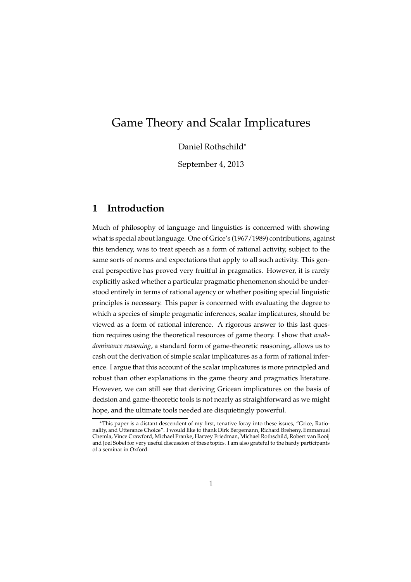# Game Theory and Scalar Implicatures

Daniel Rothschild<sup>∗</sup>

September 4, 2013

# **1 Introduction**

Much of philosophy of language and linguistics is concerned with showing what is special about language. One of Grice's (1967/1989) contributions, against this tendency, was to treat speech as a form of rational activity, subject to the same sorts of norms and expectations that apply to all such activity. This general perspective has proved very fruitful in pragmatics. However, it is rarely explicitly asked whether a particular pragmatic phenomenon should be understood entirely in terms of rational agency or whether positing special linguistic principles is necessary. This paper is concerned with evaluating the degree to which a species of simple pragmatic inferences, scalar implicatures, should be viewed as a form of rational inference. A rigorous answer to this last question requires using the theoretical resources of game theory. I show that *weakdominance reasoning*, a standard form of game-theoretic reasoning, allows us to cash out the derivation of simple scalar implicatures as a form of rational inference. I argue that this account of the scalar implicatures is more principled and robust than other explanations in the game theory and pragmatics literature. However, we can still see that deriving Gricean implicatures on the basis of decision and game-theoretic tools is not nearly as straightforward as we might hope, and the ultimate tools needed are disquietingly powerful.

<sup>∗</sup>This paper is a distant descendent of my first, tenative foray into these issues, "Grice, Rationality, and Utterance Choice". I would like to thank Dirk Bergemann, Richard Breheny, Emmanuel Chemla, Vince Crawford, Michael Franke, Harvey Friedman, Michael Rothschild, Robert van Rooij and Joel Sobel for very useful discussion of these topics. I am also grateful to the hardy participants of a seminar in Oxford.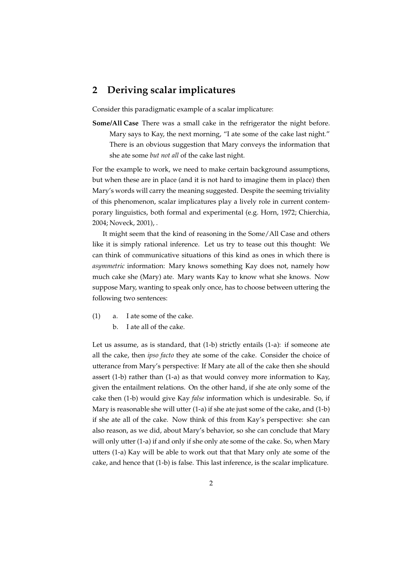# **2 Deriving scalar implicatures**

Consider this paradigmatic example of a scalar implicature:

**Some/All Case** There was a small cake in the refrigerator the night before. Mary says to Kay, the next morning, "I ate some of the cake last night." There is an obvious suggestion that Mary conveys the information that she ate some *but not all* of the cake last night.

For the example to work, we need to make certain background assumptions, but when these are in place (and it is not hard to imagine them in place) then Mary's words will carry the meaning suggested. Despite the seeming triviality of this phenomenon, scalar implicatures play a lively role in current contemporary linguistics, both formal and experimental (e.g. Horn, 1972; Chierchia, 2004; Noveck, 2001), .

It might seem that the kind of reasoning in the Some/All Case and others like it is simply rational inference. Let us try to tease out this thought: We can think of communicative situations of this kind as ones in which there is *asymmetric* information: Mary knows something Kay does not, namely how much cake she (Mary) ate. Mary wants Kay to know what she knows. Now suppose Mary, wanting to speak only once, has to choose between uttering the following two sentences:

- (1) a. I ate some of the cake.
	- b. I ate all of the cake.

Let us assume, as is standard, that (1-b) strictly entails (1-a): if someone ate all the cake, then *ipso facto* they ate some of the cake. Consider the choice of utterance from Mary's perspective: If Mary ate all of the cake then she should assert (1-b) rather than (1-a) as that would convey more information to Kay, given the entailment relations. On the other hand, if she ate only some of the cake then (1-b) would give Kay *false* information which is undesirable. So, if Mary is reasonable she will utter (1-a) if she ate just some of the cake, and (1-b) if she ate all of the cake. Now think of this from Kay's perspective: she can also reason, as we did, about Mary's behavior, so she can conclude that Mary will only utter (1-a) if and only if she only ate some of the cake. So, when Mary utters (1-a) Kay will be able to work out that that Mary only ate some of the cake, and hence that (1-b) is false. This last inference, is the scalar implicature.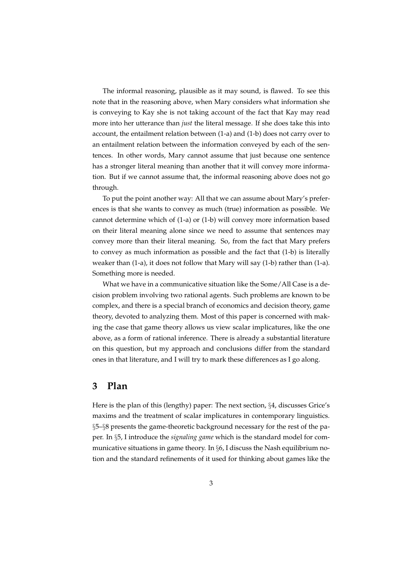The informal reasoning, plausible as it may sound, is flawed. To see this note that in the reasoning above, when Mary considers what information she is conveying to Kay she is not taking account of the fact that Kay may read more into her utterance than *just* the literal message. If she does take this into account, the entailment relation between (1-a) and (1-b) does not carry over to an entailment relation between the information conveyed by each of the sentences. In other words, Mary cannot assume that just because one sentence has a stronger literal meaning than another that it will convey more information. But if we cannot assume that, the informal reasoning above does not go through.

To put the point another way: All that we can assume about Mary's preferences is that she wants to convey as much (true) information as possible. We cannot determine which of (1-a) or (1-b) will convey more information based on their literal meaning alone since we need to assume that sentences may convey more than their literal meaning. So, from the fact that Mary prefers to convey as much information as possible and the fact that (1-b) is literally weaker than (1-a), it does not follow that Mary will say (1-b) rather than (1-a). Something more is needed.

What we have in a communicative situation like the Some/All Case is a decision problem involving two rational agents. Such problems are known to be complex, and there is a special branch of economics and decision theory, game theory, devoted to analyzing them. Most of this paper is concerned with making the case that game theory allows us view scalar implicatures, like the one above, as a form of rational inference. There is already a substantial literature on this question, but my approach and conclusions differ from the standard ones in that literature, and I will try to mark these differences as I go along.

## **3 Plan**

Here is the plan of this (lengthy) paper: The next section, §4, discusses Grice's maxims and the treatment of scalar implicatures in contemporary linguistics. §5–§8 presents the game-theoretic background necessary for the rest of the paper. In §5, I introduce the *signaling game* which is the standard model for communicative situations in game theory. In §6, I discuss the Nash equilibrium notion and the standard refinements of it used for thinking about games like the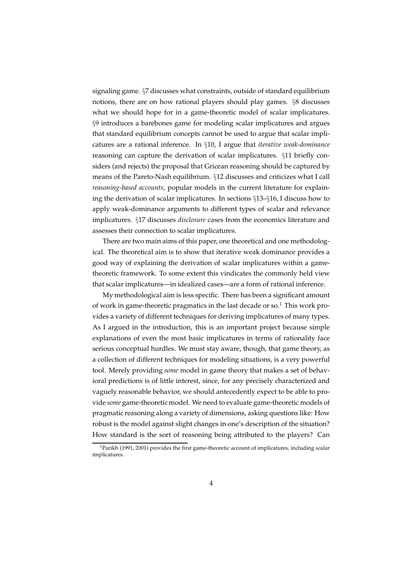signaling game. §7 discusses what constraints, outside of standard equilibrium notions, there are on how rational players should play games. §8 discusses what we should hope for in a game-theoretic model of scalar implicatures. §9 introduces a barebones game for modeling scalar implicatures and argues that standard equilibrium concepts cannot be used to argue that scalar implicatures are a rational inference. In §10, I argue that *iterative weak-dominance* reasoning can capture the derivation of scalar implicatures. §11 briefly considers (and rejects) the proposal that Gricean reasoning should be captured by means of the Pareto-Nash equilibrium. §12 discusses and criticizes what I call *reasoning-based accounts*, popular models in the current literature for explaining the derivation of scalar implicatures. In sections §13–§16, I discuss how to apply weak-dominance arguments to different types of scalar and relevance implicatures. §17 discusses *disclosure* cases from the economics literature and assesses their connection to scalar implicatures.

There are two main aims of this paper, one theoretical and one methodological. The theoretical aim is to show that iterative weak dominance provides a good way of explaining the derivation of scalar implicatures within a gametheoretic framework. To some extent this vindicates the commonly held view that scalar implicatures—in idealized cases—are a form of rational inference.

My methodological aim is less specific. There has been a significant amount of work in game-theoretic pragmatics in the last decade or so.<sup>1</sup> This work provides a variety of different techniques for deriving implicatures of many types. As I argued in the introduction, this is an important project because simple explanations of even the most basic implicatures in terms of rationality face serious conceptual hurdles. We must stay aware, though, that game theory, as a collection of different techniques for modeling situations, is a very powerful tool. Merely providing *some* model in game theory that makes a set of behavioral predictions is of little interest, since, for any precisely characterized and vaguely reasonable behavior, we should antecedently expect to be able to provide *some* game-theoretic model. We need to evaluate game-theoretic models of pragmatic reasoning along a variety of dimensions, asking questions like: How robust is the model against slight changes in one's description of the situation? How standard is the sort of reasoning being attributed to the players? Can

<sup>&</sup>lt;sup>1</sup>Parikh (1991, 2001) provides the first game-theoretic account of implicatures, including scalar implicatures.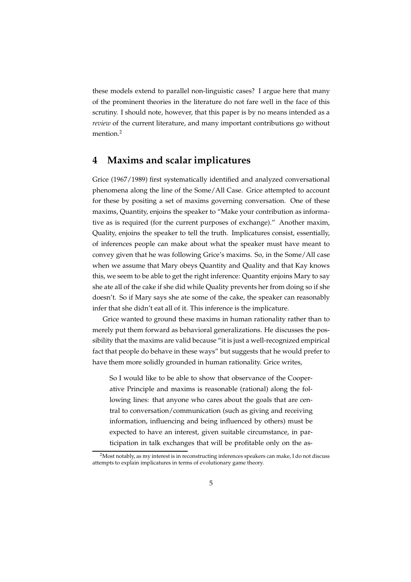these models extend to parallel non-linguistic cases? I argue here that many of the prominent theories in the literature do not fare well in the face of this scrutiny. I should note, however, that this paper is by no means intended as a *review* of the current literature, and many important contributions go without mention.<sup>2</sup>

## **4 Maxims and scalar implicatures**

Grice (1967/1989) first systematically identified and analyzed conversational phenomena along the line of the Some/All Case. Grice attempted to account for these by positing a set of maxims governing conversation. One of these maxims, Quantity, enjoins the speaker to "Make your contribution as informative as is required (for the current purposes of exchange)." Another maxim, Quality, enjoins the speaker to tell the truth. Implicatures consist, essentially, of inferences people can make about what the speaker must have meant to convey given that he was following Grice's maxims. So, in the Some/All case when we assume that Mary obeys Quantity and Quality and that Kay knows this, we seem to be able to get the right inference: Quantity enjoins Mary to say she ate all of the cake if she did while Quality prevents her from doing so if she doesn't. So if Mary says she ate some of the cake, the speaker can reasonably infer that she didn't eat all of it. This inference is the implicature.

Grice wanted to ground these maxims in human rationality rather than to merely put them forward as behavioral generalizations. He discusses the possibility that the maxims are valid because "it is just a well-recognized empirical fact that people do behave in these ways" but suggests that he would prefer to have them more solidly grounded in human rationality. Grice writes,

So I would like to be able to show that observance of the Cooperative Principle and maxims is reasonable (rational) along the following lines: that anyone who cares about the goals that are central to conversation/communication (such as giving and receiving information, influencing and being influenced by others) must be expected to have an interest, given suitable circumstance, in participation in talk exchanges that will be profitable only on the as-

 $2M$ ost notably, as my interest is in reconstructing inferences speakers can make, I do not discuss attempts to explain implicatures in terms of evolutionary game theory.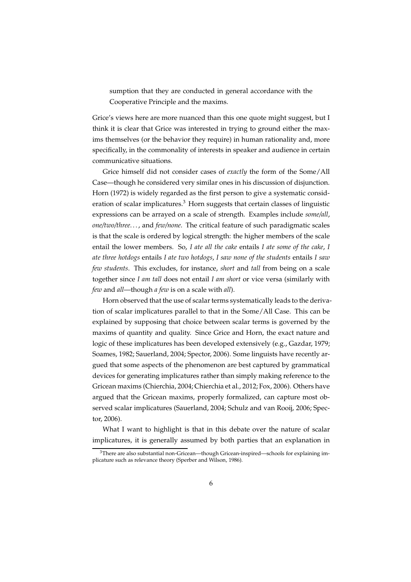sumption that they are conducted in general accordance with the Cooperative Principle and the maxims.

Grice's views here are more nuanced than this one quote might suggest, but I think it is clear that Grice was interested in trying to ground either the maxims themselves (or the behavior they require) in human rationality and, more specifically, in the commonality of interests in speaker and audience in certain communicative situations.

Grice himself did not consider cases of *exactly* the form of the Some/All Case—though he considered very similar ones in his discussion of disjunction. Horn (1972) is widely regarded as the first person to give a systematic consideration of scalar implicatures. $3$  Horn suggests that certain classes of linguistic expressions can be arrayed on a scale of strength. Examples include *some/all*, *one/two/three*. . . , and *few/none*. The critical feature of such paradigmatic scales is that the scale is ordered by logical strength: the higher members of the scale entail the lower members. So, *I ate all the cake* entails *I ate some of the cake*, *I ate three hotdogs* entails *I ate two hotdogs*, *I saw none of the students* entails *I saw few students*. This excludes, for instance, *short* and *tall* from being on a scale together since *I am tall* does not entail *I am short* or vice versa (similarly with *few* and *all*—though *a few* is on a scale with *all*).

Horn observed that the use of scalar terms systematically leads to the derivation of scalar implicatures parallel to that in the Some/All Case. This can be explained by supposing that choice between scalar terms is governed by the maxims of quantity and quality. Since Grice and Horn, the exact nature and logic of these implicatures has been developed extensively (e.g., Gazdar, 1979; Soames, 1982; Sauerland, 2004; Spector, 2006). Some linguists have recently argued that some aspects of the phenomenon are best captured by grammatical devices for generating implicatures rather than simply making reference to the Gricean maxims (Chierchia, 2004; Chierchia et al., 2012; Fox, 2006). Others have argued that the Gricean maxims, properly formalized, can capture most observed scalar implicatures (Sauerland, 2004; Schulz and van Rooij, 2006; Spector, 2006).

What I want to highlight is that in this debate over the nature of scalar implicatures, it is generally assumed by both parties that an explanation in

<sup>&</sup>lt;sup>3</sup>There are also substantial non-Gricean—though Gricean-inspired—schools for explaining implicature such as relevance theory (Sperber and Wilson, 1986).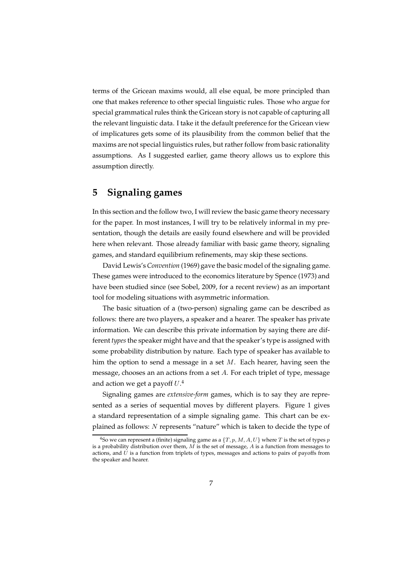terms of the Gricean maxims would, all else equal, be more principled than one that makes reference to other special linguistic rules. Those who argue for special grammatical rules think the Gricean story is not capable of capturing all the relevant linguistic data. I take it the default preference for the Gricean view of implicatures gets some of its plausibility from the common belief that the maxims are not special linguistics rules, but rather follow from basic rationality assumptions. As I suggested earlier, game theory allows us to explore this assumption directly.

# **5 Signaling games**

In this section and the follow two, I will review the basic game theory necessary for the paper. In most instances, I will try to be relatively informal in my presentation, though the details are easily found elsewhere and will be provided here when relevant. Those already familiar with basic game theory, signaling games, and standard equilibrium refinements, may skip these sections.

David Lewis's *Convention* (1969) gave the basic model of the signaling game. These games were introduced to the economics literature by Spence (1973) and have been studied since (see Sobel, 2009, for a recent review) as an important tool for modeling situations with asymmetric information.

The basic situation of a (two-person) signaling game can be described as follows: there are two players, a speaker and a hearer. The speaker has private information. We can describe this private information by saying there are different *types*the speaker might have and that the speaker's type is assigned with some probability distribution by nature. Each type of speaker has available to him the option to send a message in a set M. Each hearer, having seen the message, chooses an an actions from a set A. For each triplet of type, message and action we get a payoff  $U.^4$ 

Signaling games are *extensive-form* games, which is to say they are represented as a series of sequential moves by different players. Figure 1 gives a standard representation of a simple signaling game. This chart can be explained as follows: N represents "nature" which is taken to decide the type of

<sup>&</sup>lt;sup>4</sup>So we can represent a (finite) signaling game as a  $\{T, p, M, A, U\}$  where  $T$  is the set of types  $p$ is a probability distribution over them,  $\widetilde{M}$  is the set of message,  $A$  is a function from messages to actions, and  $U$  is a function from triplets of types, messages and actions to pairs of payoffs from the speaker and hearer.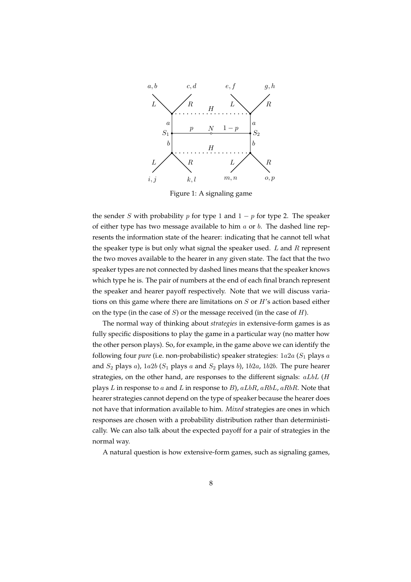

Figure 1: A signaling game

the sender S with probability p for type 1 and  $1 - p$  for type 2. The speaker of either type has two message available to him  $a$  or  $b$ . The dashed line represents the information state of the hearer: indicating that he cannot tell what the speaker type is but only what signal the speaker used.  $L$  and  $R$  represent the two moves available to the hearer in any given state. The fact that the two speaker types are not connected by dashed lines means that the speaker knows which type he is. The pair of numbers at the end of each final branch represent the speaker and hearer payoff respectively. Note that we will discuss variations on this game where there are limitations on  $S$  or  $H$ 's action based either on the type (in the case of  $S$ ) or the message received (in the case of  $H$ ).

The normal way of thinking about *strategies* in extensive-form games is as fully specific dispositions to play the game in a particular way (no matter how the other person plays). So, for example, in the game above we can identify the following four *pure* (i.e. non-probabilistic) speaker strategies:  $1a2a$  ( $S_1$  plays a and  $S_2$  plays a), 1a2b ( $S_1$  plays a and  $S_2$  plays b), 1b2a, 1b2b. The pure hearer strategies, on the other hand, are responses to the different signals: aLbL (H plays  $L$  in response to  $a$  and  $L$  in response to  $B$ ),  $aLbR$ ,  $aRbL$ ,  $aRbR$ . Note that hearer strategies cannot depend on the type of speaker because the hearer does not have that information available to him. *Mixed* strategies are ones in which responses are chosen with a probability distribution rather than deterministically. We can also talk about the expected payoff for a pair of strategies in the normal way.

A natural question is how extensive-form games, such as signaling games,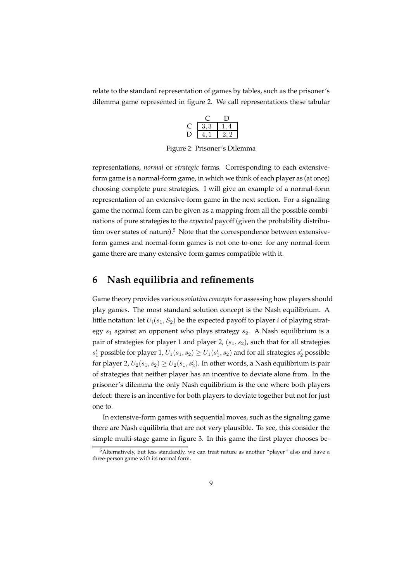relate to the standard representation of games by tables, such as the prisoner's dilemma game represented in figure 2. We call representations these tabular

| ₹ |  |
|---|--|
|   |  |

Figure 2: Prisoner's Dilemma

representations, *normal* or *strategic* forms. Corresponding to each extensiveform game is a normal-form game, in which we think of each player as (at once) choosing complete pure strategies. I will give an example of a normal-form representation of an extensive-form game in the next section. For a signaling game the normal form can be given as a mapping from all the possible combinations of pure strategies to the *expected* payoff (given the probability distribution over states of nature).<sup>5</sup> Note that the correspondence between extensiveform games and normal-form games is not one-to-one: for any normal-form game there are many extensive-form games compatible with it.

## **6 Nash equilibria and refinements**

Game theory provides various *solution concepts*for assessing how players should play games. The most standard solution concept is the Nash equilibrium. A little notation: let  $U_i(s_1, S_2)$  be the expected payoff to player *i* of playing strategy  $s_1$  against an opponent who plays strategy  $s_2$ . A Nash equilibrium is a pair of strategies for player 1 and player 2,  $(s_1, s_2)$ , such that for all strategies  $s'_1$  possible for player 1,  $U_1(s_1, s_2) \ge U_1(s'_1, s_2)$  and for all strategies  $s'_2$  possible for player 2,  $U_2(s_1, s_2) \ge U_2(s_1, s_2')$ . In other words, a Nash equilibrium is pair of strategies that neither player has an incentive to deviate alone from. In the prisoner's dilemma the only Nash equilibrium is the one where both players defect: there is an incentive for both players to deviate together but not for just one to.

In extensive-form games with sequential moves, such as the signaling game there are Nash equilibria that are not very plausible. To see, this consider the simple multi-stage game in figure 3. In this game the first player chooses be-

<sup>5</sup>Alternatively, but less standardly, we can treat nature as another "player" also and have a three-person game with its normal form.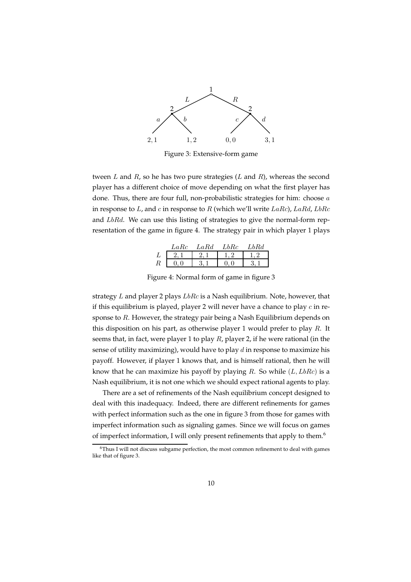

Figure 3: Extensive-form game

tween L and R, so he has two pure strategies  $(L \text{ and } R)$ , whereas the second player has a different choice of move depending on what the first player has done. Thus, there are four full, non-probabilistic strategies for him: choose a in response to L, and c in response to R (which we'll write LaRc), LaRd, LbRc and LbRd. We can use this listing of strategies to give the normal-form representation of the game in figure 4. The strategy pair in which player 1 plays

|   | $_{LaRc}$ | LaRd | LbRc | LbRd |
|---|-----------|------|------|------|
|   |           |      |      |      |
| R |           |      |      |      |

Figure 4: Normal form of game in figure 3

strategy  $L$  and player 2 plays  $LbRc$  is a Nash equilibrium. Note, however, that if this equilibrium is played, player 2 will never have a chance to play  $c$  in response to R. However, the strategy pair being a Nash Equilibrium depends on this disposition on his part, as otherwise player 1 would prefer to play  $R$ . It seems that, in fact, were player 1 to play  $R$ , player 2, if he were rational (in the sense of utility maximizing), would have to play  $d$  in response to maximize his payoff. However, if player 1 knows that, and is himself rational, then he will know that he can maximize his payoff by playing  $R$ . So while  $(L, LbRc)$  is a Nash equilibrium, it is not one which we should expect rational agents to play.

There are a set of refinements of the Nash equilibrium concept designed to deal with this inadequacy. Indeed, there are different refinements for games with perfect information such as the one in figure 3 from those for games with imperfect information such as signaling games. Since we will focus on games of imperfect information, I will only present refinements that apply to them.<sup>6</sup>

<sup>6</sup>Thus I will not discuss subgame perfection, the most common refinement to deal with games like that of figure 3.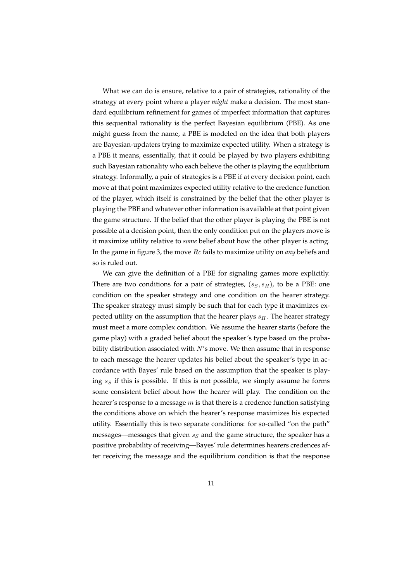What we can do is ensure, relative to a pair of strategies, rationality of the strategy at every point where a player *might* make a decision. The most standard equilibrium refinement for games of imperfect information that captures this sequential rationality is the perfect Bayesian equilibrium (PBE). As one might guess from the name, a PBE is modeled on the idea that both players are Bayesian-updaters trying to maximize expected utility. When a strategy is a PBE it means, essentially, that it could be played by two players exhibiting such Bayesian rationality who each believe the other is playing the equilibrium strategy. Informally, a pair of strategies is a PBE if at every decision point, each move at that point maximizes expected utility relative to the credence function of the player, which itself is constrained by the belief that the other player is playing the PBE and whatever other information is available at that point given the game structure. If the belief that the other player is playing the PBE is not possible at a decision point, then the only condition put on the players move is it maximize utility relative to *some* belief about how the other player is acting. In the game in figure 3, the move Rc fails to maximize utility on *any* beliefs and so is ruled out.

We can give the definition of a PBE for signaling games more explicitly. There are two conditions for a pair of strategies,  $(s_S, s_H)$ , to be a PBE: one condition on the speaker strategy and one condition on the hearer strategy. The speaker strategy must simply be such that for each type it maximizes expected utility on the assumption that the hearer plays  $s_H$ . The hearer strategy must meet a more complex condition. We assume the hearer starts (before the game play) with a graded belief about the speaker's type based on the probability distribution associated with  $N$ 's move. We then assume that in response to each message the hearer updates his belief about the speaker's type in accordance with Bayes' rule based on the assumption that the speaker is playing  $s_S$  if this is possible. If this is not possible, we simply assume he forms some consistent belief about how the hearer will play. The condition on the hearer's response to a message  $m$  is that there is a credence function satisfying the conditions above on which the hearer's response maximizes his expected utility. Essentially this is two separate conditions: for so-called "on the path" messages—messages that given  $s_S$  and the game structure, the speaker has a positive probability of receiving—Bayes' rule determines hearers credences after receiving the message and the equilibrium condition is that the response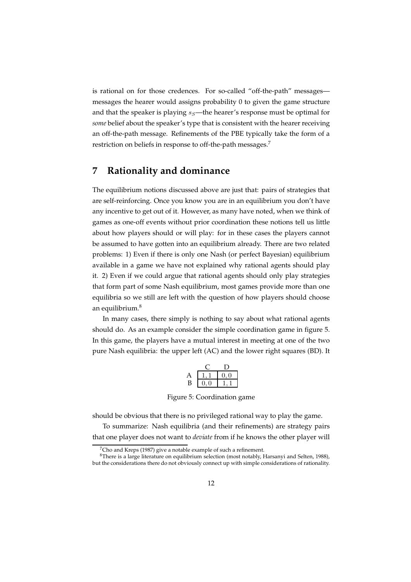is rational on for those credences. For so-called "off-the-path" messages messages the hearer would assigns probability 0 to given the game structure and that the speaker is playing  $s_S$ —the hearer's response must be optimal for *some* belief about the speaker's type that is consistent with the hearer receiving an off-the-path message. Refinements of the PBE typically take the form of a restriction on beliefs in response to off-the-path messages.<sup>7</sup>

## **7 Rationality and dominance**

The equilibrium notions discussed above are just that: pairs of strategies that are self-reinforcing. Once you know you are in an equilibrium you don't have any incentive to get out of it. However, as many have noted, when we think of games as one-off events without prior coordination these notions tell us little about how players should or will play: for in these cases the players cannot be assumed to have gotten into an equilibrium already. There are two related problems: 1) Even if there is only one Nash (or perfect Bayesian) equilibrium available in a game we have not explained why rational agents should play it. 2) Even if we could argue that rational agents should only play strategies that form part of some Nash equilibrium, most games provide more than one equilibria so we still are left with the question of how players should choose an equilibrium.<sup>8</sup>

In many cases, there simply is nothing to say about what rational agents should do. As an example consider the simple coordination game in figure 5. In this game, the players have a mutual interest in meeting at one of the two pure Nash equilibria: the upper left (AC) and the lower right squares (BD). It

| ▵ |                        | $\Omega$<br>$\left( \right)$ |
|---|------------------------|------------------------------|
| В | $\mathbf{\Omega}$<br>Ш |                              |

Figure 5: Coordination game

should be obvious that there is no privileged rational way to play the game.

To summarize: Nash equilibria (and their refinements) are strategy pairs that one player does not want to *deviate* from if he knows the other player will

 $7$ Cho and Kreps (1987) give a notable example of such a refinement.

<sup>8</sup>There is a large literature on equilibrium selection (most notably, Harsanyi and Selten, 1988), but the considerations there do not obviously connect up with simple considerations of rationality.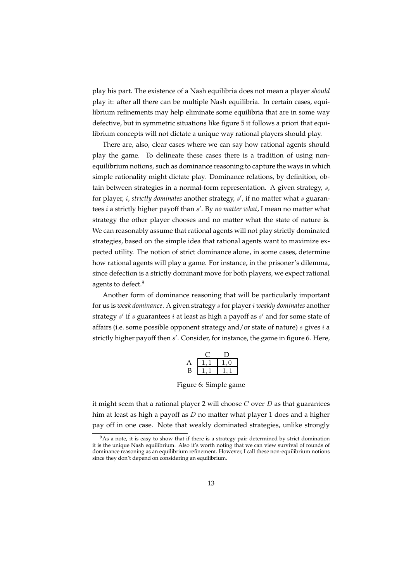play his part. The existence of a Nash equilibria does not mean a player *should* play it: after all there can be multiple Nash equilibria. In certain cases, equilibrium refinements may help eliminate some equilibria that are in some way defective, but in symmetric situations like figure 5 it follows a priori that equilibrium concepts will not dictate a unique way rational players should play.

There are, also, clear cases where we can say how rational agents should play the game. To delineate these cases there is a tradition of using nonequilibrium notions, such as dominance reasoning to capture the ways in which simple rationality might dictate play. Dominance relations, by definition, obtain between strategies in a normal-form representation. A given strategy, s, for player, *i*, *strictly dominates* another strategy, *s'*, if no matter what *s* guarantees i a strictly higher payoff than s ′ . By *no matter what*, I mean no matter what strategy the other player chooses and no matter what the state of nature is. We can reasonably assume that rational agents will not play strictly dominated strategies, based on the simple idea that rational agents want to maximize expected utility. The notion of strict dominance alone, in some cases, determine how rational agents will play a game. For instance, in the prisoner's dilemma, since defection is a strictly dominant move for both players, we expect rational agents to defect.<sup>9</sup>

Another form of dominance reasoning that will be particularly important for us is *weak dominance*. A given strategy s for player *i* weakly dominates another strategy  $s'$  if  $s$  guarantees  $i$  at least as high a payoff as  $s'$  and for some state of affairs (i.e. some possible opponent strategy and/or state of nature)  $s$  gives  $i$  a strictly higher payoff then s'. Consider, for instance, the game in figure 6. Here,

| Α | 0 |
|---|---|
| В |   |

Figure 6: Simple game

it might seem that a rational player 2 will choose  $C$  over  $D$  as that guarantees him at least as high a payoff as  $D$  no matter what player 1 does and a higher pay off in one case. Note that weakly dominated strategies, unlike strongly

 $9As$  a note, it is easy to show that if there is a strategy pair determined by strict domination it is the unique Nash equilibrium. Also it's worth noting that we can view survival of rounds of dominance reasoning as an equilibrium refinement. However, I call these non-equilibrium notions since they don't depend on considering an equilibrium.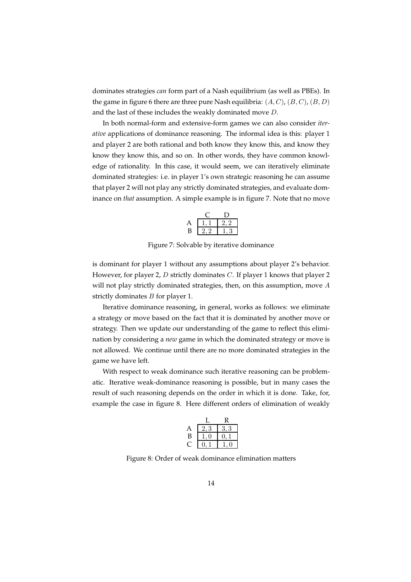dominates strategies *can* form part of a Nash equilibrium (as well as PBEs). In the game in figure 6 there are three pure Nash equilibria:  $(A, C), (B, C), (B, D)$ and the last of these includes the weakly dominated move D.

In both normal-form and extensive-form games we can also consider *iterative* applications of dominance reasoning. The informal idea is this: player 1 and player 2 are both rational and both know they know this, and know they know they know this, and so on. In other words, they have common knowledge of rationality. In this case, it would seem, we can iteratively eliminate dominated strategies: i.e. in player 1's own strategic reasoning he can assume that player 2 will not play any strictly dominated strategies, and evaluate dominance on *that* assumption. A simple example is in figure 7. Note that no move

| A | ۰. |
|---|----|
| В |    |

Figure 7: Solvable by iterative dominance

is dominant for player 1 without any assumptions about player 2's behavior. However, for player 2, D strictly dominates C. If player 1 knows that player 2 will not play strictly dominated strategies, then, on this assumption, move A strictly dominates *B* for player 1.

Iterative dominance reasoning, in general, works as follows: we eliminate a strategy or move based on the fact that it is dominated by another move or strategy. Then we update our understanding of the game to reflect this elimination by considering a *new* game in which the dominated strategy or move is not allowed. We continue until there are no more dominated strategies in the game we have left.

With respect to weak dominance such iterative reasoning can be problematic. Iterative weak-dominance reasoning is possible, but in many cases the result of such reasoning depends on the order in which it is done. Take, for, example the case in figure 8. Here different orders of elimination of weakly

| Α | 3 | 3<br>3 |
|---|---|--------|
| B | 0 | 0      |
|   |   |        |

Figure 8: Order of weak dominance elimination matters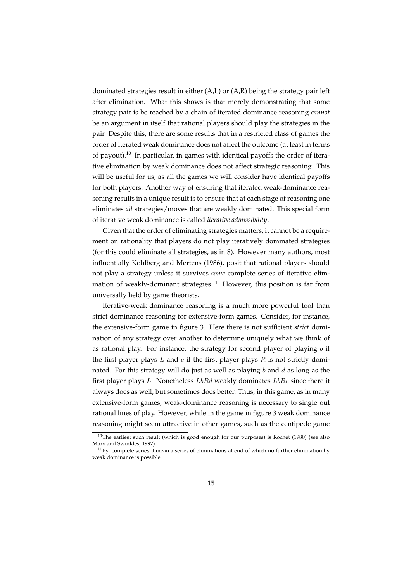dominated strategies result in either (A,L) or (A,R) being the strategy pair left after elimination. What this shows is that merely demonstrating that some strategy pair is be reached by a chain of iterated dominance reasoning *cannot* be an argument in itself that rational players should play the strategies in the pair. Despite this, there are some results that in a restricted class of games the order of iterated weak dominance does not affect the outcome (at least in terms of payout).<sup>10</sup> In particular, in games with identical payoffs the order of iterative elimination by weak dominance does not affect strategic reasoning. This will be useful for us, as all the games we will consider have identical payoffs for both players. Another way of ensuring that iterated weak-dominance reasoning results in a unique result is to ensure that at each stage of reasoning one eliminates *all* strategies/moves that are weakly dominated. This special form of iterative weak dominance is called *iterative admissibility*.

Given that the order of eliminating strategies matters, it cannot be a requirement on rationality that players do not play iteratively dominated strategies (for this could eliminate all strategies, as in 8). However many authors, most influentially Kohlberg and Mertens (1986), posit that rational players should not play a strategy unless it survives *some* complete series of iterative elimination of weakly-dominant strategies.<sup>11</sup> However, this position is far from universally held by game theorists.

Iterative-weak dominance reasoning is a much more powerful tool than strict dominance reasoning for extensive-form games. Consider, for instance, the extensive-form game in figure 3. Here there is not sufficient *strict* domination of any strategy over another to determine uniquely what we think of as rational play. For instance, the strategy for second player of playing  $b$  if the first player plays  $L$  and  $c$  if the first player plays  $R$  is not strictly dominated. For this strategy will do just as well as playing  $b$  and  $d$  as long as the first player plays L. Nonetheless LbRd weakly dominates LbRc since there it always does as well, but sometimes does better. Thus, in this game, as in many extensive-form games, weak-dominance reasoning is necessary to single out rational lines of play. However, while in the game in figure 3 weak dominance reasoning might seem attractive in other games, such as the centipede game

 $10$ The earliest such result (which is good enough for our purposes) is Rochet (1980) (see also Marx and Swinkles, 1997).

 $11$ By 'complete series' I mean a series of eliminations at end of which no further elimination by weak dominance is possible.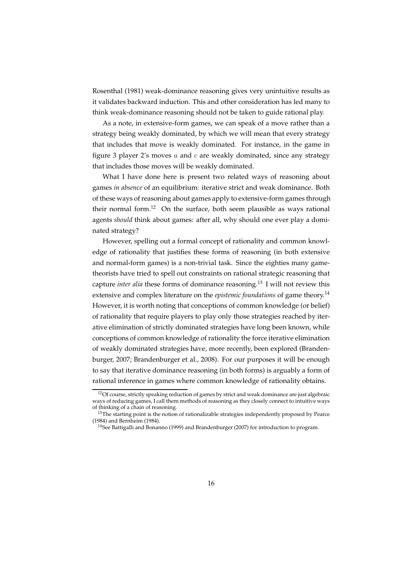Rosenthal (1981) weak-dominance reasoning gives very unintuitive results as it validates backward induction. This and other consideration has led many to think weak-dominance reasoning should not be taken to guide rational play.

As a note, in extensive-form games, we can speak of a move rather than a strategy being weakly dominated, by which we will mean that every strategy that includes that move is weakly dominated. For instance, in the game in figure 3 player 2's moves  $a$  and  $c$  are weakly dominated, since any strategy that includes those moves will be weakly dominated.

What I have done here is present two related ways of reasoning about games *in absence* of an equilibrium: iterative strict and weak dominance. Both of these ways of reasoning about games apply to extensive-form games through their normal form.<sup>12</sup> On the surface, both seem plausible as ways rational agents *should* think about games: after all, why should one ever play a dominated strategy?

However, spelling out a formal concept of rationality and common knowledge of rationality that justifies these forms of reasoning (in both extensive and normal-form games) is a non-trivial task. Since the eighties many gametheorists have tried to spell out constraints on rational strategic reasoning that capture *inter alia* these forms of dominance reasoning.<sup>13</sup> I will not review this extensive and complex literature on the *epistemic foundations* of game theory.<sup>14</sup> However, it is worth noting that conceptions of common knowledge (or belief) of rationality that require players to play only those strategies reached by iterative elimination of strictly dominated strategies have long been known, while conceptions of common knowledge of rationality the force iterative elimination of weakly dominated strategies have, more recently, been explored (Brandenburger, 2007; Brandenburger et al., 2008). For our purposes it will be enough to say that iterative dominance reasoning (in both forms) is arguably a form of rational inference in games where common knowledge of rationality obtains.

<sup>&</sup>lt;sup>12</sup>Of course, strictly speaking reduction of games by strict and weak dominance are just algebraic ways of reducing games, I call them methods of reasoning as they closely connect to intuitive ways of thinking of a chain of reasoning.

<sup>&</sup>lt;sup>13</sup>The starting point is the notion of rationalizable strategies independently proposed by Pearce (1984) and Bernheim (1984).

<sup>&</sup>lt;sup>14</sup>See Battigalli and Bonanno (1999) and Brandenburger (2007) for introduction to program.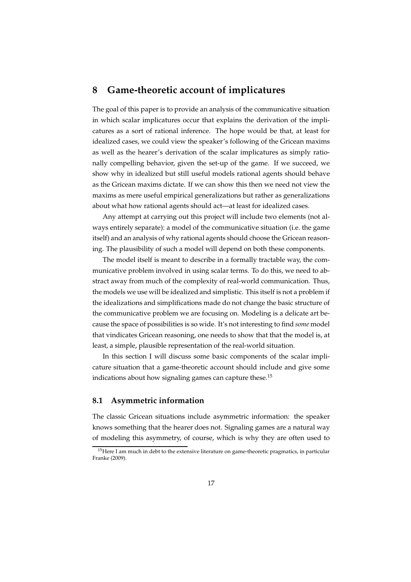## **8 Game-theoretic account of implicatures**

The goal of this paper is to provide an analysis of the communicative situation in which scalar implicatures occur that explains the derivation of the implicatures as a sort of rational inference. The hope would be that, at least for idealized cases, we could view the speaker's following of the Gricean maxims as well as the hearer's derivation of the scalar implicatures as simply rationally compelling behavior, given the set-up of the game. If we succeed, we show why in idealized but still useful models rational agents should behave as the Gricean maxims dictate. If we can show this then we need not view the maxims as mere useful empirical generalizations but rather as generalizations about what how rational agents should act—at least for idealized cases.

Any attempt at carrying out this project will include two elements (not always entirely separate): a model of the communicative situation (i.e. the game itself) and an analysis of why rational agents should choose the Gricean reasoning. The plausibility of such a model will depend on both these components.

The model itself is meant to describe in a formally tractable way, the communicative problem involved in using scalar terms. To do this, we need to abstract away from much of the complexity of real-world communication. Thus, the models we use will be idealized and simplistic. This itself is not a problem if the idealizations and simplifications made do not change the basic structure of the communicative problem we are focusing on. Modeling is a delicate art because the space of possibilities is so wide. It's not interesting to find *some* model that vindicates Gricean reasoning, one needs to show that that the model is, at least, a simple, plausible representation of the real-world situation.

In this section I will discuss some basic components of the scalar implicature situation that a game-theoretic account should include and give some indications about how signaling games can capture these.<sup>15</sup>

### **8.1 Asymmetric information**

The classic Gricean situations include asymmetric information: the speaker knows something that the hearer does not. Signaling games are a natural way of modeling this asymmetry, of course, which is why they are often used to

<sup>&</sup>lt;sup>15</sup>Here I am much in debt to the extensive literature on game-theoretic pragmatics, in particular Franke (2009).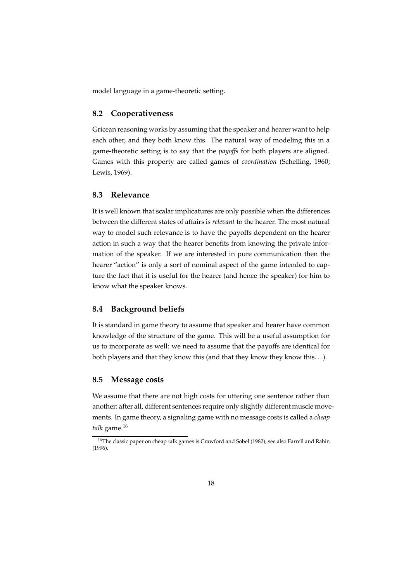model language in a game-theoretic setting.

#### **8.2 Cooperativeness**

Gricean reasoning works by assuming that the speaker and hearer want to help each other, and they both know this. The natural way of modeling this in a game-theoretic setting is to say that the *payoffs* for both players are aligned. Games with this property are called games of *coordination* (Schelling, 1960; Lewis, 1969).

#### **8.3 Relevance**

It is well known that scalar implicatures are only possible when the differences between the different states of affairs is *relevant* to the hearer. The most natural way to model such relevance is to have the payoffs dependent on the hearer action in such a way that the hearer benefits from knowing the private information of the speaker. If we are interested in pure communication then the hearer "action" is only a sort of nominal aspect of the game intended to capture the fact that it is useful for the hearer (and hence the speaker) for him to know what the speaker knows.

### **8.4 Background beliefs**

It is standard in game theory to assume that speaker and hearer have common knowledge of the structure of the game. This will be a useful assumption for us to incorporate as well: we need to assume that the payoffs are identical for both players and that they know this (and that they know they know this. . . ).

#### **8.5 Message costs**

We assume that there are not high costs for uttering one sentence rather than another: after all, different sentences require only slightly different muscle movements. In game theory, a signaling game with no message costs is called a *cheap talk* game.<sup>16</sup>

<sup>16</sup>The classic paper on cheap talk games is Crawford and Sobel (1982), see also Farrell and Rabin (1996).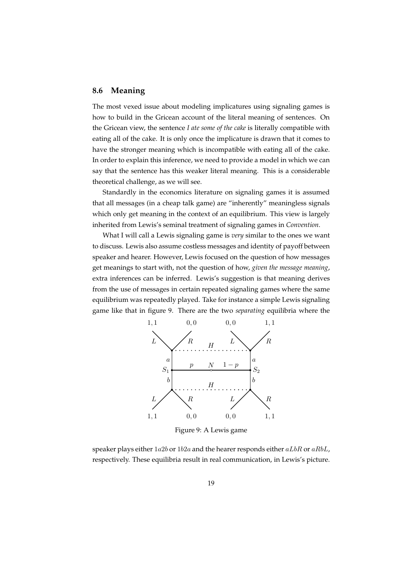## **8.6 Meaning**

The most vexed issue about modeling implicatures using signaling games is how to build in the Gricean account of the literal meaning of sentences. On the Gricean view, the sentence *I ate some of the cake* is literally compatible with eating all of the cake. It is only once the implicature is drawn that it comes to have the stronger meaning which is incompatible with eating all of the cake. In order to explain this inference, we need to provide a model in which we can say that the sentence has this weaker literal meaning. This is a considerable theoretical challenge, as we will see.

Standardly in the economics literature on signaling games it is assumed that all messages (in a cheap talk game) are "inherently" meaningless signals which only get meaning in the context of an equilibrium. This view is largely inherited from Lewis's seminal treatment of signaling games in *Convention*.

What I will call a Lewis signaling game is *very* similar to the ones we want to discuss. Lewis also assume costless messages and identity of payoff between speaker and hearer. However, Lewis focused on the question of how messages get meanings to start with, not the question of how, *given the message meaning*, extra inferences can be inferred. Lewis's suggestion is that meaning derives from the use of messages in certain repeated signaling games where the same equilibrium was repeatedly played. Take for instance a simple Lewis signaling game like that in figure 9. There are the two *separating* equilibria where the



Figure 9: A Lewis game

speaker plays either  $1a2b$  or  $1b2a$  and the hearer responds either  $aLbR$  or  $aRbL$ , respectively. These equilibria result in real communication, in Lewis's picture.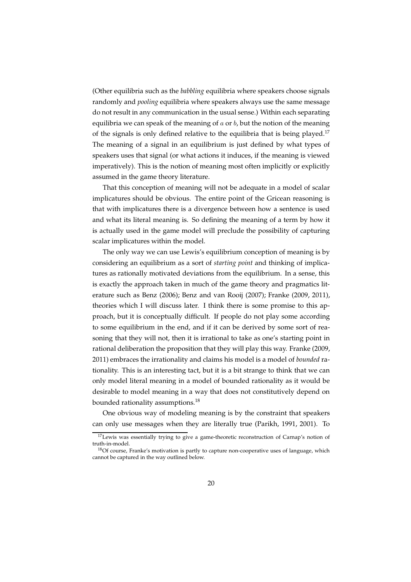(Other equilibria such as the *babbling* equilibria where speakers choose signals randomly and *pooling* equilibria where speakers always use the same message do not result in any communication in the usual sense.) Within each separating equilibria we can speak of the meaning of  $a$  or  $b$ , but the notion of the meaning of the signals is only defined relative to the equilibria that is being played.<sup>17</sup> The meaning of a signal in an equilibrium is just defined by what types of speakers uses that signal (or what actions it induces, if the meaning is viewed imperatively). This is the notion of meaning most often implicitly or explicitly assumed in the game theory literature.

That this conception of meaning will not be adequate in a model of scalar implicatures should be obvious. The entire point of the Gricean reasoning is that with implicatures there is a divergence between how a sentence is used and what its literal meaning is. So defining the meaning of a term by how it is actually used in the game model will preclude the possibility of capturing scalar implicatures within the model.

The only way we can use Lewis's equilibrium conception of meaning is by considering an equilibrium as a sort of *starting point* and thinking of implicatures as rationally motivated deviations from the equilibrium. In a sense, this is exactly the approach taken in much of the game theory and pragmatics literature such as Benz (2006); Benz and van Rooij (2007); Franke (2009, 2011), theories which I will discuss later. I think there is some promise to this approach, but it is conceptually difficult. If people do not play some according to some equilibrium in the end, and if it can be derived by some sort of reasoning that they will not, then it is irrational to take as one's starting point in rational deliberation the proposition that they will play this way. Franke (2009, 2011) embraces the irrationality and claims his model is a model of *bounded* rationality. This is an interesting tact, but it is a bit strange to think that we can only model literal meaning in a model of bounded rationality as it would be desirable to model meaning in a way that does not constitutively depend on bounded rationality assumptions.<sup>18</sup>

One obvious way of modeling meaning is by the constraint that speakers can only use messages when they are literally true (Parikh, 1991, 2001). To

<sup>&</sup>lt;sup>17</sup>Lewis was essentially trying to give a game-theoretic reconstruction of Carnap's notion of truth-in-model.

<sup>&</sup>lt;sup>18</sup>Of course, Franke's motivation is partly to capture non-cooperative uses of language, which cannot be captured in the way outlined below.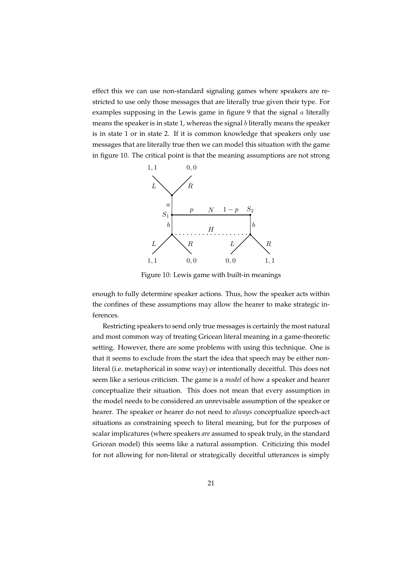effect this we can use non-standard signaling games where speakers are restricted to use only those messages that are literally true given their type. For examples supposing in the Lewis game in figure 9 that the signal a literally means the speaker is in state 1, whereas the signal b literally means the speaker is in state 1 or in state 2. If it is common knowledge that speakers only use messages that are literally true then we can model this situation with the game in figure 10. The critical point is that the meaning assumptions are not strong



Figure 10: Lewis game with built-in meanings

enough to fully determine speaker actions. Thus, how the speaker acts within the confines of these assumptions may allow the hearer to make strategic inferences.

Restricting speakers to send only true messages is certainly the most natural and most common way of treating Gricean literal meaning in a game-theoretic setting. However, there are some problems with using this technique. One is that it seems to exclude from the start the idea that speech may be either nonliteral (i.e. metaphorical in some way) or intentionally deceitful. This does not seem like a serious criticism. The game is a *model* of how a speaker and hearer conceptualize their situation. This does not mean that every assumption in the model needs to be considered an unrevisable assumption of the speaker or hearer. The speaker or hearer do not need to *always* conceptualize speech-act situations as constraining speech to literal meaning, but for the purposes of scalar implicatures (where speakers *are* assumed to speak truly, in the standard Gricean model) this seems like a natural assumption. Criticizing this model for not allowing for non-literal or strategically deceitful utterances is simply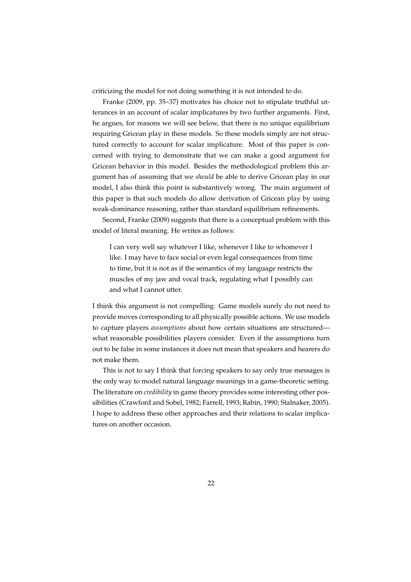criticizing the model for not doing something it is not intended to do.

Franke (2009, pp. 35–37) motivates his choice not to stipulate truthful utterances in an account of scalar implicatures by two further arguments. First, he argues, for reasons we will see below, that there is no unique equilibrium requiring Gricean play in these models. So these models simply are not structured correctly to account for scalar implicature. Most of this paper is concerned with trying to demonstrate that we can make a good argument for Gricean behavior in this model. Besides the methodological problem this argument has of assuming that we *should* be able to derive Gricean play in our model, I also think this point is substantively wrong. The main argument of this paper is that such models do allow derivation of Gricean play by using weak-dominance reasoning, rather than standard equilibrium refinements.

Second, Franke (2009) suggests that there is a conceptual problem with this model of literal meaning. He writes as follows:

I can very well say whatever I like, whenever I like to whomever I like. I may have to face social or even legal consequences from time to time, but it is not as if the semantics of my language restricts the muscles of my jaw and vocal track, regulating what I possibly can and what I cannot utter.

I think this argument is not compelling: Game models surely do not need to provide moves corresponding to all physically possible actions. We use models to capture players *assumptions* about how certain situations are structured what reasonable possibilities players consider. Even if the assumptions turn out to be false in some instances it does not mean that speakers and hearers do not make them.

This is not to say I think that forcing speakers to say only true messages is the only way to model natural language meanings in a game-theoretic setting. The literature on *credibility* in game theory provides some interesting other possibilities (Crawford and Sobel, 1982; Farrell, 1993; Rabin, 1990; Stalnaker, 2005). I hope to address these other approaches and their relations to scalar implicatures on another occasion.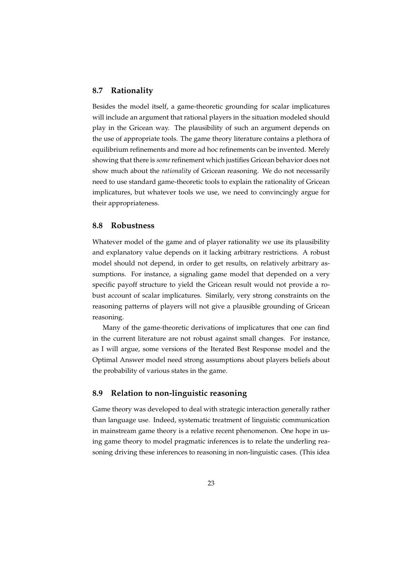#### **8.7 Rationality**

Besides the model itself, a game-theoretic grounding for scalar implicatures will include an argument that rational players in the situation modeled should play in the Gricean way. The plausibility of such an argument depends on the use of appropriate tools. The game theory literature contains a plethora of equilibrium refinements and more ad hoc refinements can be invented. Merely showing that there is *some*refinement which justifies Gricean behavior does not show much about the *rationality* of Gricean reasoning. We do not necessarily need to use standard game-theoretic tools to explain the rationality of Gricean implicatures, but whatever tools we use, we need to convincingly argue for their appropriateness.

### **8.8 Robustness**

Whatever model of the game and of player rationality we use its plausibility and explanatory value depends on it lacking arbitrary restrictions. A robust model should not depend, in order to get results, on relatively arbitrary assumptions. For instance, a signaling game model that depended on a very specific payoff structure to yield the Gricean result would not provide a robust account of scalar implicatures. Similarly, very strong constraints on the reasoning patterns of players will not give a plausible grounding of Gricean reasoning.

Many of the game-theoretic derivations of implicatures that one can find in the current literature are not robust against small changes. For instance, as I will argue, some versions of the Iterated Best Response model and the Optimal Answer model need strong assumptions about players beliefs about the probability of various states in the game.

### **8.9 Relation to non-linguistic reasoning**

Game theory was developed to deal with strategic interaction generally rather than language use. Indeed, systematic treatment of linguistic communication in mainstream game theory is a relative recent phenomenon. One hope in using game theory to model pragmatic inferences is to relate the underling reasoning driving these inferences to reasoning in non-linguistic cases. (This idea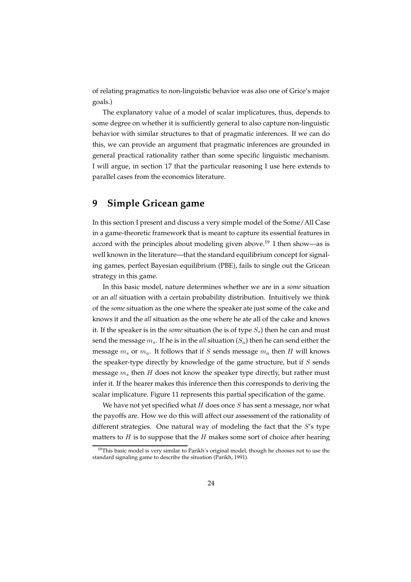of relating pragmatics to non-linguistic behavior was also one of Grice's major goals.)

The explanatory value of a model of scalar implicatures, thus, depends to some degree on whether it is sufficiently general to also capture non-linguistic behavior with similar structures to that of pragmatic inferences. If we can do this, we can provide an argument that pragmatic inferences are grounded in general practical rationality rather than some specific linguistic mechanism. I will argue, in section 17 that the particular reasoning I use here extends to parallel cases from the economics literature.

## **9 Simple Gricean game**

In this section I present and discuss a very simple model of the Some/All Case in a game-theoretic framework that is meant to capture its essential features in accord with the principles about modeling given above.<sup>19</sup> I then show—as is well known in the literature—that the standard equilibrium concept for signaling games, perfect Bayesian equilibrium (PBE), fails to single out the Gricean strategy in this game.

In this basic model, nature determines whether we are in a *some* situation or an *all* situation with a certain probability distribution. Intuitively we think of the *some* situation as the one where the speaker ate just some of the cake and knows it and the *all* situation as the one where he ate all of the cake and knows it. If the speaker is in the *some* situation (he is of type  $S<sub>s</sub>$ ) then he can and must send the message  $m_s$ . If he is in the *all* situation  $(S_a)$  then he can send either the message  $m_s$  or  $m_a$ . It follows that if S sends message  $m_a$  then H will knows the speaker-type directly by knowledge of the game structure, but if  $S$  sends message  $m_s$  then H does not know the speaker type directly, but rather must infer it. If the hearer makes this inference then this corresponds to deriving the scalar implicature. Figure 11 represents this partial specification of the game.

We have not yet specified what  $H$  does once  $S$  has sent a message, nor what the payoffs are. How we do this will affect our assessment of the rationality of different strategies. One natural way of modeling the fact that the S's type matters to  $H$  is to suppose that the  $H$  makes some sort of choice after hearing

<sup>&</sup>lt;sup>19</sup>This basic model is very similar to Parikh's original model, though he chooses not to use the standard signaling game to describe the situation (Parikh, 1991).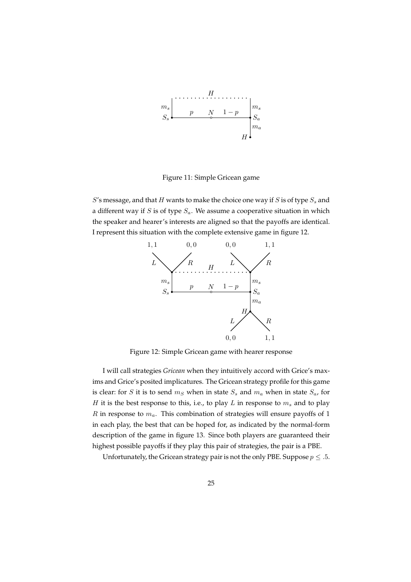

Figure 11: Simple Gricean game

S's message, and that H wants to make the choice one way if S is of type  $S_s$  and a different way if S is of type  $S_a$ . We assume a cooperative situation in which the speaker and hearer's interests are aligned so that the payoffs are identical. I represent this situation with the complete extensive game in figure 12.



Figure 12: Simple Gricean game with hearer response

I will call strategies *Gricean* when they intuitively accord with Grice's maxims and Grice's posited implicatures. The Gricean strategy profile for this game is clear: for S it is to send  $m<sub>S</sub>$  when in state  $S<sub>s</sub>$  and  $m<sub>a</sub>$  when in state  $S<sub>a</sub>$ , for H it is the best response to this, i.e., to play L in response to  $m_s$  and to play  $R$  in response to  $m_a$ . This combination of strategies will ensure payoffs of 1 in each play, the best that can be hoped for, as indicated by the normal-form description of the game in figure 13. Since both players are guaranteed their highest possible payoffs if they play this pair of strategies, the pair is a PBE.

Unfortunately, the Gricean strategy pair is not the only PBE. Suppose  $p \leq .5$ .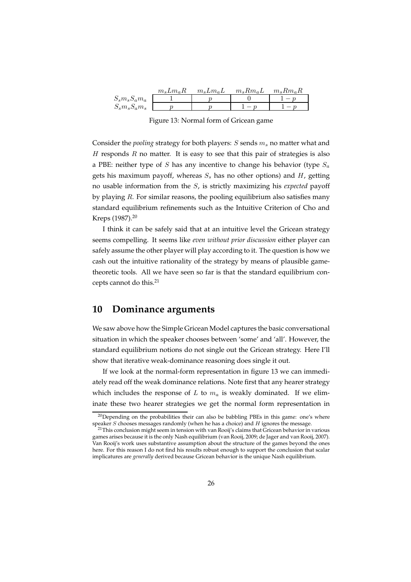|                   | $m_s L m_a R$ | $m_s L m_a L$ | $m_s R m_a L$ | $m_s R m_a R$ |
|-------------------|---------------|---------------|---------------|---------------|
| $S_s m_s S_a m_a$ |               |               |               |               |
| $S_s m_s S_a m_s$ |               |               |               |               |

Figure 13: Normal form of Gricean game

Consider the *pooling* strategy for both players:  $S$  sends  $m_s$  no matter what and  $H$  responds  $R$  no matter. It is easy to see that this pair of strategies is also a PBE: neither type of S has any incentive to change his behavior (type  $S_a$ gets his maximum payoff, whereas  $S_s$  has no other options) and H, getting no usable information from the S, is strictly maximizing his *expected* payoff by playing  $R$ . For similar reasons, the pooling equilibrium also satisfies many standard equilibrium refinements such as the Intuitive Criterion of Cho and Kreps (1987).<sup>20</sup>

I think it can be safely said that at an intuitive level the Gricean strategy seems compelling. It seems like *even without prior discussion* either player can safely assume the other player will play according to it. The question is how we cash out the intuitive rationality of the strategy by means of plausible gametheoretic tools. All we have seen so far is that the standard equilibrium concepts cannot do this.<sup>21</sup>

## **10 Dominance arguments**

We saw above how the Simple Gricean Model captures the basic conversational situation in which the speaker chooses between 'some' and 'all'. However, the standard equilibrium notions do not single out the Gricean strategy. Here I'll show that iterative weak-dominance reasoning does single it out.

If we look at the normal-form representation in figure 13 we can immediately read off the weak dominance relations. Note first that any hearer strategy which includes the response of L to  $m_a$  is weakly dominated. If we eliminate these two hearer strategies we get the normal form representation in

 $20$ Depending on the probabilities their can also be babbling PBEs in this game: one's where speaker  $S$  chooses messages randomly (when he has a choice) and  $H$  ignores the message.

 $^{21}$ This conclusion might seem in tension with van Rooij's claims that Gricean behavior in various games arises because it is the only Nash equilibrium (van Rooij, 2009; de Jager and van Rooij, 2007). Van Rooij's work uses substantive assumption about the structure of the games beyond the ones here. For this reason I do not find his results robust enough to support the conclusion that scalar implicatures are *generally* derived because Gricean behavior is the unique Nash equilibrium.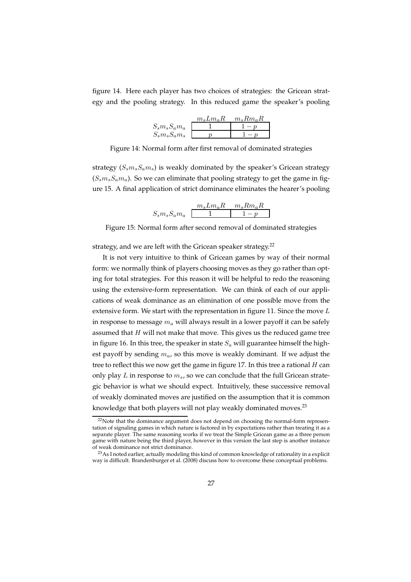figure 14. Here each player has two choices of strategies: the Gricean strategy and the pooling strategy. In this reduced game the speaker's pooling

|                   | $m_s L m_a R$ | $m_s R m_a R$ |
|-------------------|---------------|---------------|
| $S_s m_s S_a m_a$ |               |               |
| $S_s m_s S_a m_s$ |               |               |

Figure 14: Normal form after first removal of dominated strategies

strategy  $(S_s m_s S_a m_s)$  is weakly dominated by the speaker's Gricean strategy  $(S_s m_s S_a m_a)$ . So we can eliminate that pooling strategy to get the game in figure 15. A final application of strict dominance eliminates the hearer's pooling

$$
S_s m_s S_a m_a \begin{array}{|c|c|c|c|} \hline m_s L m_a R & m_s R m_a R \\ \hline 1 & 1-p \\ \hline \end{array}
$$

Figure 15: Normal form after second removal of dominated strategies

strategy, and we are left with the Gricean speaker strategy. $22$ 

It is not very intuitive to think of Gricean games by way of their normal form: we normally think of players choosing moves as they go rather than opting for total strategies. For this reason it will be helpful to redo the reasoning using the extensive-form representation. We can think of each of our applications of weak dominance as an elimination of one possible move from the extensive form. We start with the representation in figure 11. Since the move L in response to message  $m_a$  will always result in a lower payoff it can be safely assumed that  $H$  will not make that move. This gives us the reduced game tree in figure 16. In this tree, the speaker in state  $S_a$  will guarantee himself the highest payoff by sending  $m_a$ , so this move is weakly dominant. If we adjust the tree to reflect this we now get the game in figure 17. In this tree a rational  $H$  can only play L in response to  $m_s$ , so we can conclude that the full Gricean strategic behavior is what we should expect. Intuitively, these successive removal of weakly dominated moves are justified on the assumption that it is common knowledge that both players will not play weakly dominated moves.<sup>23</sup>

 $22$ Note that the dominance argument does not depend on choosing the normal-form representation of signaling games in which nature is factored in by expectations rather than treating it as a separate player. The same reasoning works if we treat the Simple Gricean game as a three person game with nature being the third player, however in this version the last step is another instance of weak dominance not strict dominance.

<sup>&</sup>lt;sup>23</sup>As I noted earlier, actually modeling this kind of common knowledge of rationality in a explicit way is difficult. Brandenburger et al. (2008) discuss how to overcome these conceptual problems.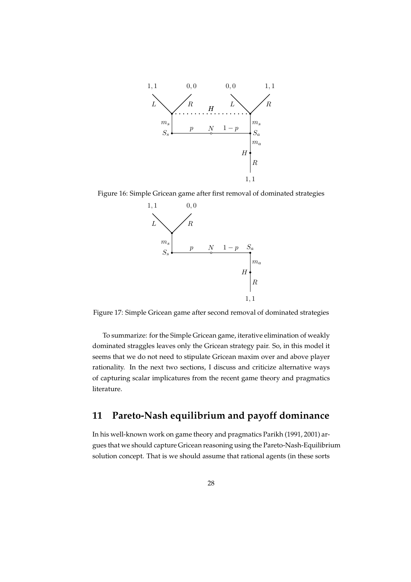

Figure 16: Simple Gricean game after first removal of dominated strategies



Figure 17: Simple Gricean game after second removal of dominated strategies

To summarize: for the Simple Gricean game, iterative elimination of weakly dominated straggles leaves only the Gricean strategy pair. So, in this model it seems that we do not need to stipulate Gricean maxim over and above player rationality. In the next two sections, I discuss and criticize alternative ways of capturing scalar implicatures from the recent game theory and pragmatics literature.

# **11 Pareto-Nash equilibrium and payoff dominance**

In his well-known work on game theory and pragmatics Parikh (1991, 2001) argues that we should capture Gricean reasoning using the Pareto-Nash-Equilibrium solution concept. That is we should assume that rational agents (in these sorts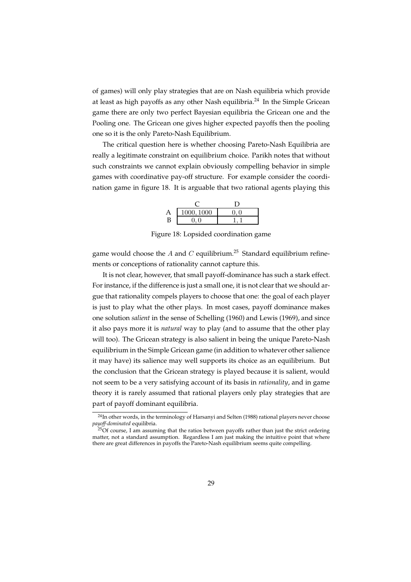of games) will only play strategies that are on Nash equilibria which provide at least as high payoffs as any other Nash equilibria.<sup>24</sup> In the Simple Gricean game there are only two perfect Bayesian equilibria the Gricean one and the Pooling one. The Gricean one gives higher expected payoffs then the pooling one so it is the only Pareto-Nash Equilibrium.

The critical question here is whether choosing Pareto-Nash Equilibria are really a legitimate constraint on equilibrium choice. Parikh notes that without such constraints we cannot explain obviously compelling behavior in simple games with coordinative pay-off structure. For example consider the coordination game in figure 18. It is arguable that two rational agents playing this

|   | 1000, 1000 |  |
|---|------------|--|
| В |            |  |

Figure 18: Lopsided coordination game

game would choose the A and C equilibrium.<sup>25</sup> Standard equilibrium refinements or conceptions of rationality cannot capture this.

It is not clear, however, that small payoff-dominance has such a stark effect. For instance, if the difference is just a small one, it is not clear that we should argue that rationality compels players to choose that one: the goal of each player is just to play what the other plays. In most cases, payoff dominance makes one solution *salient* in the sense of Schelling (1960) and Lewis (1969), and since it also pays more it is *natural* way to play (and to assume that the other play will too). The Gricean strategy is also salient in being the unique Pareto-Nash equilibrium in the Simple Gricean game (in addition to whatever other salience it may have) its salience may well supports its choice as an equilibrium. But the conclusion that the Gricean strategy is played because it is salient, would not seem to be a very satisfying account of its basis in *rationality*, and in game theory it is rarely assumed that rational players only play strategies that are part of payoff dominant equilibria.

<sup>&</sup>lt;sup>24</sup>In other words, in the terminology of Harsanyi and Selten (1988) rational players never choose *payoff-dominated* equilibria.

 $25$ Of course, I am assuming that the ratios between payoffs rather than just the strict ordering matter, not a standard assumption. Regardless I am just making the intuitive point that where there are great differences in payoffs the Pareto-Nash equilibrium seems quite compelling.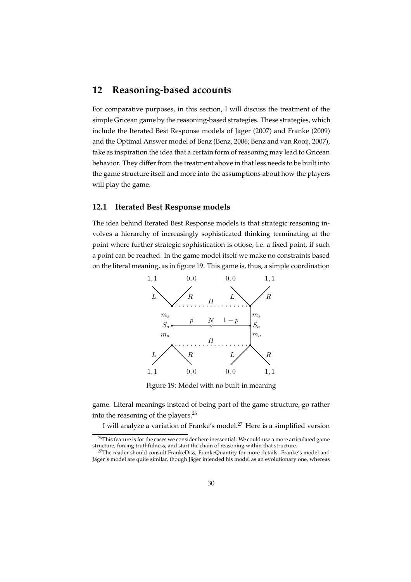# **12 Reasoning-based accounts**

For comparative purposes, in this section, I will discuss the treatment of the simple Gricean game by the reasoning-based strategies. These strategies, which include the Iterated Best Response models of Jäger (2007) and Franke (2009) and the Optimal Answer model of Benz (Benz, 2006; Benz and van Rooij, 2007), take as inspiration the idea that a certain form of reasoning may lead to Gricean behavior. They differ from the treatment above in that less needs to be built into the game structure itself and more into the assumptions about how the players will play the game.

## **12.1 Iterated Best Response models**

The idea behind Iterated Best Response models is that strategic reasoning involves a hierarchy of increasingly sophisticated thinking terminating at the point where further strategic sophistication is otiose, i.e. a fixed point, if such a point can be reached. In the game model itself we make no constraints based on the literal meaning, as in figure 19. This game is, thus, a simple coordination



Figure 19: Model with no built-in meaning

game. Literal meanings instead of being part of the game structure, go rather into the reasoning of the players.<sup>26</sup>

I will analyze a variation of Franke's model.<sup>27</sup> Here is a simplified version

<sup>&</sup>lt;sup>26</sup>This feature is for the cases we consider here inessential: We could use a more articulated game structure, forcing truthfulness, and start the chain of reasoning within that structure.

<sup>&</sup>lt;sup>27</sup>The reader should consult FrankeDiss, FrankeQuantity for more details. Franke's model and Jäger's model are quite similar, though Jäger intended his model as an evolutionary one, whereas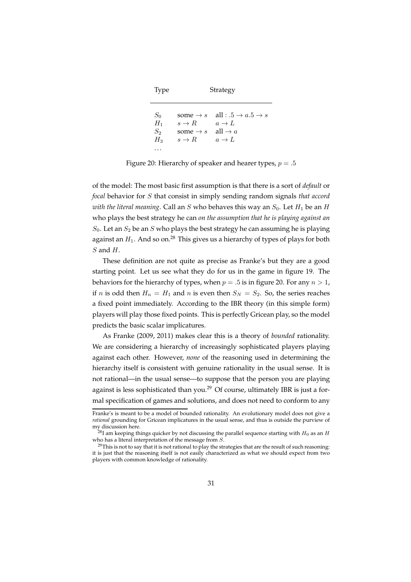Type Strategy  $S_0$  some  $\rightarrow s$  all : .5  $\rightarrow a.5 \rightarrow s$ 

 $H_1 \t s \to R \t a \to L$  $S_2$  some  $\rightarrow s$  all  $\rightarrow a$  $H_3 \t s \to R \t a \to L$ . . .

Figure 20: Hierarchy of speaker and hearer types,  $p = .5$ 

of the model: The most basic first assumption is that there is a sort of *default* or *focal* behavior for S that consist in simply sending random signals *that accord with the literal meaning*. Call an  $S$  who behaves this way an  $S_0$ . Let  $H_1$  be an  $H$ who plays the best strategy he can *on the assumption that he is playing against an*  $S_0$ . Let an  $S_2$  be an S who plays the best strategy he can assuming he is playing against an  $H_1$ . And so on.<sup>28</sup> This gives us a hierarchy of types of plays for both  $S$  and  $H$ .

These definition are not quite as precise as Franke's but they are a good starting point. Let us see what they do for us in the game in figure 19. The behaviors for the hierarchy of types, when  $p = .5$  is in figure 20. For any  $n > 1$ , if *n* is odd then  $H_n = H_1$  and *n* is even then  $S_N = S_2$ . So, the series reaches a fixed point immediately. According to the IBR theory (in this simple form) players will play those fixed points. This is perfectly Gricean play, so the model predicts the basic scalar implicatures.

As Franke (2009, 2011) makes clear this is a theory of *bounded* rationality. We are considering a hierarchy of increasingly sophisticated players playing against each other. However, *none* of the reasoning used in determining the hierarchy itself is consistent with genuine rationality in the usual sense. It is not rational—in the usual sense—to suppose that the person you are playing against is less sophisticated than you.<sup>29</sup> Of course, ultimately IBR is just a formal specification of games and solutions, and does not need to conform to any

Franke's is meant to be a model of bounded rationality. An evolutionary model does not give a *rational* grounding for Gricean implicatures in the usual sense, and thus is outside the purview of my discussion here.

 $^{28}$ I am keeping things quicker by not discussing the parallel sequence starting with  $H_0$  as an  $H$ who has a literal interpretation of the message from S.

<sup>&</sup>lt;sup>29</sup>This is not to say that it is not rational to play the strategies that are the result of such reasoning: it is just that the reasoning itself is not easily characterized as what we should expect from two players with common knowledge of rationality.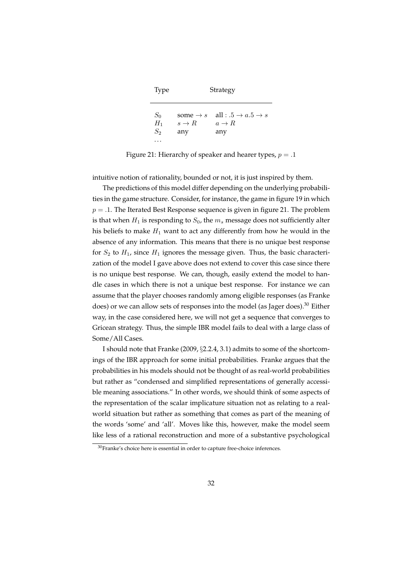| $\sim$ $\mu$ $\sim$     |                                          | $\sim$ $\sim$ $\sim$ $\sim$ $\sim$ $\sim$ $\sim$                     |
|-------------------------|------------------------------------------|----------------------------------------------------------------------|
| $S_0$<br>$H_1$<br>$S_2$ | some $\rightarrow$ s<br>$s \to R$<br>any | all : $.5 \rightarrow a.5 \rightarrow s$<br>$a \rightarrow R$<br>any |
|                         |                                          |                                                                      |

Type Strategy

Figure 21: Hierarchy of speaker and hearer types,  $p = .1$ 

intuitive notion of rationality, bounded or not, it is just inspired by them.

The predictions of this model differ depending on the underlying probabilities in the game structure. Consider, for instance, the game in figure 19 in which  $p = 0.1$ . The Iterated Best Response sequence is given in figure 21. The problem is that when  $H_1$  is responding to  $S_0$ , the  $m_s$  message does not sufficiently alter his beliefs to make  $H_1$  want to act any differently from how he would in the absence of any information. This means that there is no unique best response for  $S_2$  to  $H_1$ , since  $H_1$  ignores the message given. Thus, the basic characterization of the model I gave above does not extend to cover this case since there is no unique best response. We can, though, easily extend the model to handle cases in which there is not a unique best response. For instance we can assume that the player chooses randomly among eligible responses (as Franke does) or we can allow sets of responses into the model (as Jager does).<sup>30</sup> Either way, in the case considered here, we will not get a sequence that converges to Gricean strategy. Thus, the simple IBR model fails to deal with a large class of Some/All Cases.

I should note that Franke (2009, §2.2.4, 3.1) admits to some of the shortcomings of the IBR approach for some initial probabilities. Franke argues that the probabilities in his models should not be thought of as real-world probabilities but rather as "condensed and simplified representations of generally accessible meaning associations." In other words, we should think of some aspects of the representation of the scalar implicature situation not as relating to a realworld situation but rather as something that comes as part of the meaning of the words 'some' and 'all'. Moves like this, however, make the model seem like less of a rational reconstruction and more of a substantive psychological

<sup>30</sup>Franke's choice here is essential in order to capture free-choice inferences.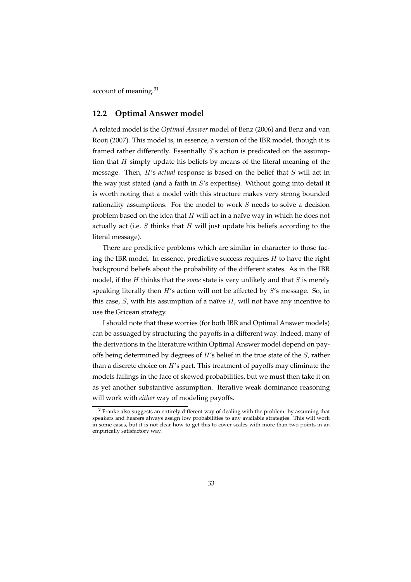account of meaning.<sup>31</sup>

## **12.2 Optimal Answer model**

A related model is the *Optimal Answer* model of Benz (2006) and Benz and van Rooij (2007). This model is, in essence, a version of the IBR model, though it is framed rather differently. Essentially S's action is predicated on the assumption that  $H$  simply update his beliefs by means of the literal meaning of the message. Then, H's *actual* response is based on the belief that S will act in the way just stated (and a faith in S's expertise). Without going into detail it is worth noting that a model with this structure makes very strong bounded rationality assumptions. For the model to work S needs to solve a decision problem based on the idea that  $H$  will act in a naïve way in which he does not actually act (i.e.  $S$  thinks that  $H$  will just update his beliefs according to the literal message).

There are predictive problems which are similar in character to those facing the IBR model. In essence, predictive success requires  $H$  to have the right background beliefs about the probability of the different states. As in the IBR model, if the H thinks that the *some* state is very unlikely and that S is merely speaking literally then H's action will not be affected by S's message. So, in this case,  $S$ , with his assumption of a naïve  $H$ , will not have any incentive to use the Gricean strategy.

I should note that these worries (for both IBR and Optimal Answer models) can be assuaged by structuring the payoffs in a different way. Indeed, many of the derivations in the literature within Optimal Answer model depend on payoffs being determined by degrees of H's belief in the true state of the S, rather than a discrete choice on H's part. This treatment of payoffs may eliminate the models failings in the face of skewed probabilities, but we must then take it on as yet another substantive assumption. Iterative weak dominance reasoning will work with *either* way of modeling payoffs.

 $31$  Franke also suggests an entirely different way of dealing with the problem: by assuming that speakers and hearers always assign low probabilities to any available strategies. This will work in some cases, but it is not clear how to get this to cover scales with more than two points in an empirically satisfactory way.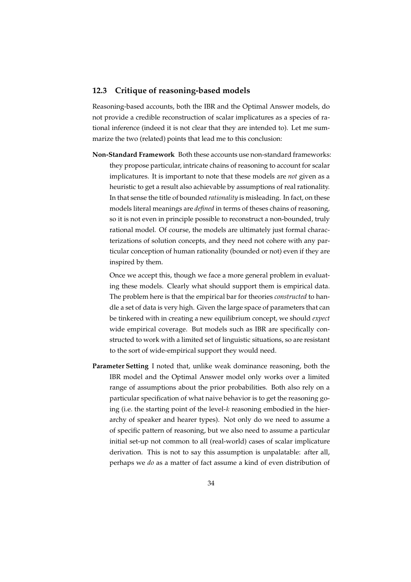### **12.3 Critique of reasoning-based models**

Reasoning-based accounts, both the IBR and the Optimal Answer models, do not provide a credible reconstruction of scalar implicatures as a species of rational inference (indeed it is not clear that they are intended to). Let me summarize the two (related) points that lead me to this conclusion:

**Non-Standard Framework** Both these accounts use non-standard frameworks: they propose particular, intricate chains of reasoning to account for scalar implicatures. It is important to note that these models are *not* given as a heuristic to get a result also achievable by assumptions of real rationality. In that sense the title of bounded *rationality* is misleading. In fact, on these models literal meanings are *defined* in terms of theses chains of reasoning, so it is not even in principle possible to reconstruct a non-bounded, truly rational model. Of course, the models are ultimately just formal characterizations of solution concepts, and they need not cohere with any particular conception of human rationality (bounded or not) even if they are inspired by them.

Once we accept this, though we face a more general problem in evaluating these models. Clearly what should support them is empirical data. The problem here is that the empirical bar for theories *constructed* to handle a set of data is very high. Given the large space of parameters that can be tinkered with in creating a new equilibrium concept, we should *expect* wide empirical coverage. But models such as IBR are specifically constructed to work with a limited set of linguistic situations, so are resistant to the sort of wide-empirical support they would need.

**Parameter Setting** I noted that, unlike weak dominance reasoning, both the IBR model and the Optimal Answer model only works over a limited range of assumptions about the prior probabilities. Both also rely on a particular specification of what naive behavior is to get the reasoning going (i.e. the starting point of the level- $k$  reasoning embodied in the hierarchy of speaker and hearer types). Not only do we need to assume a of specific pattern of reasoning, but we also need to assume a particular initial set-up not common to all (real-world) cases of scalar implicature derivation. This is not to say this assumption is unpalatable: after all, perhaps we *do* as a matter of fact assume a kind of even distribution of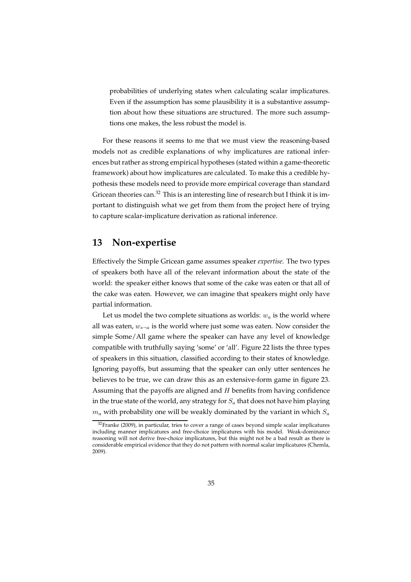probabilities of underlying states when calculating scalar implicatures. Even if the assumption has some plausibility it is a substantive assumption about how these situations are structured. The more such assumptions one makes, the less robust the model is.

For these reasons it seems to me that we must view the reasoning-based models not as credible explanations of why implicatures are rational inferences but rather as strong empirical hypotheses (stated within a game-theoretic framework) about how implicatures are calculated. To make this a credible hypothesis these models need to provide more empirical coverage than standard Gricean theories can.<sup>32</sup> This is an interesting line of research but I think it is important to distinguish what we get from them from the project here of trying to capture scalar-implicature derivation as rational inference.

## **13 Non-expertise**

Effectively the Simple Gricean game assumes speaker *expertise*. The two types of speakers both have all of the relevant information about the state of the world: the speaker either knows that some of the cake was eaten or that all of the cake was eaten. However, we can imagine that speakers might only have partial information.

Let us model the two complete situations as worlds:  $w_a$  is the world where all was eaten,  $w_{s-a}$  is the world where just some was eaten. Now consider the simple Some/All game where the speaker can have any level of knowledge compatible with truthfully saying 'some' or 'all'. Figure 22 lists the three types of speakers in this situation, classified according to their states of knowledge. Ignoring payoffs, but assuming that the speaker can only utter sentences he believes to be true, we can draw this as an extensive-form game in figure 23. Assuming that the payoffs are aligned and  $H$  benefits from having confidence in the true state of the world, any strategy for  $S_a$  that does not have him playing  $m_a$  with probability one will be weakly dominated by the variant in which  $S_a$ 

<sup>&</sup>lt;sup>32</sup>Franke (2009), in particular, tries to cover a range of cases beyond simple scalar implicatures including manner implicatures and free-choice implicatures with his model. Weak-dominance reasoning will not derive free-choice implicatures, but this might not be a bad result as there is considerable empirical evidence that they do not pattern with normal scalar implicatures (Chemla, 2009).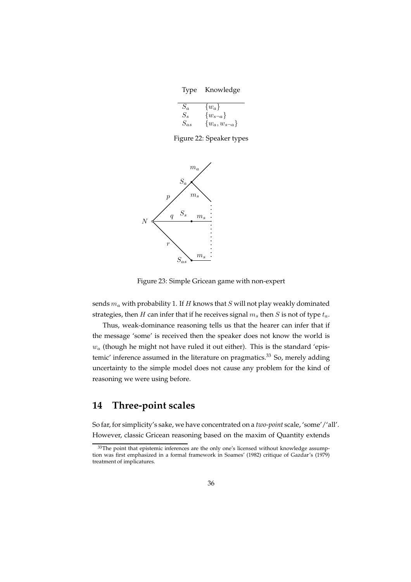Type Knowledge

| $S_a$       | $\{w_a\}$           |
|-------------|---------------------|
| $S_{\rm e}$ | $\{w_{s\lnot a}\}\$ |
| $S_{as}$    | $\{w_a, w_{s-a}\}\$ |

Figure 22: Speaker types



Figure 23: Simple Gricean game with non-expert

sends  $m_a$  with probability 1. If H knows that S will not play weakly dominated strategies, then H can infer that if he receives signal  $m_s$  then S is not of type  $t_a$ .

Thus, weak-dominance reasoning tells us that the hearer can infer that if the message 'some' is received then the speaker does not know the world is  $w_a$  (though he might not have ruled it out either). This is the standard 'epistemic' inference assumed in the literature on pragmatics.<sup>33</sup> So, merely adding uncertainty to the simple model does not cause any problem for the kind of reasoning we were using before.

# **14 Three-point scales**

So far, for simplicity's sake, we have concentrated on a *two-point* scale, 'some'/'all'. However, classic Gricean reasoning based on the maxim of Quantity extends

<sup>&</sup>lt;sup>33</sup>The point that epistemic inferences are the only one's licensed without knowledge assumption was first emphasized in a formal framework in Soames' (1982) critique of Gazdar's (1979) treatment of implicatures.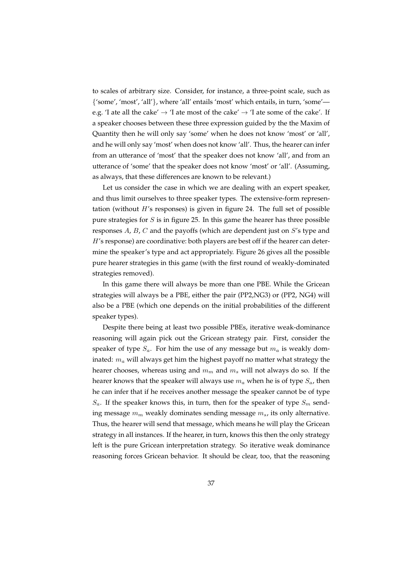to scales of arbitrary size. Consider, for instance, a three-point scale, such as {'some', 'most', 'all'}, where 'all' entails 'most' which entails, in turn, 'some' e.g. 'I ate all the cake'  $\rightarrow$  'I ate most of the cake'  $\rightarrow$  'I ate some of the cake'. If a speaker chooses between these three expression guided by the the Maxim of Quantity then he will only say 'some' when he does not know 'most' or 'all', and he will only say 'most' when does not know 'all'. Thus, the hearer can infer from an utterance of 'most' that the speaker does not know 'all', and from an utterance of 'some' that the speaker does not know 'most' or 'all'. (Assuming, as always, that these differences are known to be relevant.)

Let us consider the case in which we are dealing with an expert speaker, and thus limit ourselves to three speaker types. The extensive-form representation (without  $H$ 's responses) is given in figure 24. The full set of possible pure strategies for  $S$  is in figure 25. In this game the hearer has three possible responses A, B, C and the payoffs (which are dependent just on S's type and H's response) are coordinative: both players are best off if the hearer can determine the speaker's type and act appropriately. Figure 26 gives all the possible pure hearer strategies in this game (with the first round of weakly-dominated strategies removed).

In this game there will always be more than one PBE. While the Gricean strategies will always be a PBE, either the pair (PP2,NG3) or (PP2, NG4) will also be a PBE (which one depends on the initial probabilities of the different speaker types).

Despite there being at least two possible PBEs, iterative weak-dominance reasoning will again pick out the Gricean strategy pair. First, consider the speaker of type  $S_a$ . For him the use of any message but  $m_a$  is weakly dominated:  $m_a$  will always get him the highest payoff no matter what strategy the hearer chooses, whereas using and  $m_m$  and  $m_s$  will not always do so. If the hearer knows that the speaker will always use  $m_a$  when he is of type  $S_a$ , then he can infer that if he receives another message the speaker cannot be of type  $S_a$ . If the speaker knows this, in turn, then for the speaker of type  $S_m$  sending message  $m_m$  weakly dominates sending message  $m_s$ , its only alternative. Thus, the hearer will send that message, which means he will play the Gricean strategy in all instances. If the hearer, in turn, knows this then the only strategy left is the pure Gricean interpretation strategy. So iterative weak dominance reasoning forces Gricean behavior. It should be clear, too, that the reasoning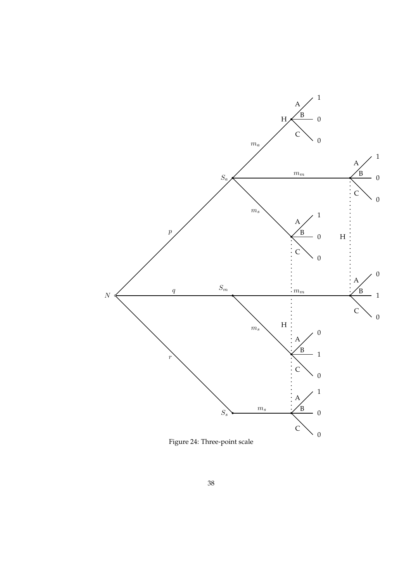

Figure 24: Three-point scale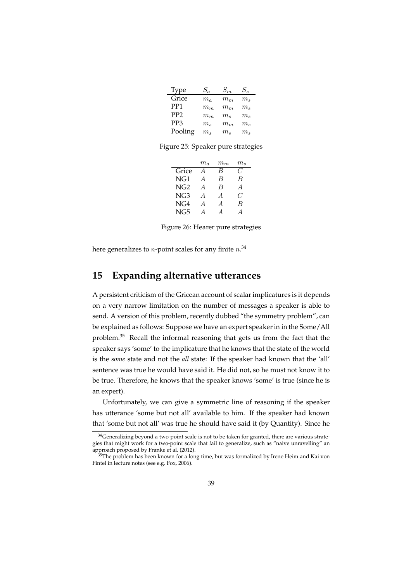| <b>Type</b>     | $S_a$   | $S_m$   | $S_{s}$ |
|-----------------|---------|---------|---------|
| Grice           | $m_a$   | $m_{m}$ | $m_{s}$ |
| PP1             | $m_m$   | $m_m$   | $m_s$   |
| PP <sub>2</sub> | $m_m$   | $m_s$   | $m_s$   |
| PP3             | $m_s$   | $m_m$   | $m_s$   |
| Pooling         | $m_{s}$ | $m_{s}$ | $m_s$   |

Figure 25: Speaker pure strategies

|       | $m_a$          | $m_{m}$        | $m_{s}$        |
|-------|----------------|----------------|----------------|
| Grice | $\overline{A}$ | B              | C              |
| NG1   | $\overline{A}$ | B              | B              |
| NG2   | A              | B              | $\overline{A}$ |
| NG3   | $\overline{A}$ | $\overline{A}$ | C              |
| NG4   | A              | $\overline{A}$ | B              |
| NG5   |                |                | А              |

Figure 26: Hearer pure strategies

here generalizes to *n*-point scales for any finite  $n^{.34}$ 

## **15 Expanding alternative utterances**

A persistent criticism of the Gricean account of scalar implicatures is it depends on a very narrow limitation on the number of messages a speaker is able to send. A version of this problem, recently dubbed "the symmetry problem", can be explained as follows: Suppose we have an expert speaker in in the Some/All problem.<sup>35</sup> Recall the informal reasoning that gets us from the fact that the speaker says 'some' to the implicature that he knows that the state of the world is the *some* state and not the *all* state: If the speaker had known that the 'all' sentence was true he would have said it. He did not, so he must not know it to be true. Therefore, he knows that the speaker knows 'some' is true (since he is an expert).

Unfortunately, we can give a symmetric line of reasoning if the speaker has utterance 'some but not all' available to him. If the speaker had known that 'some but not all' was true he should have said it (by Quantity). Since he

 $34$ Generalizing beyond a two-point scale is not to be taken for granted, there are various strategies that might work for a two-point scale that fail to generalize, such as "naive unravelling" an approach proposed by Franke et al. (2012).

 $^{35}$ The problem has been known for a long time, but was formalized by Irene Heim and Kai von Fintel in lecture notes (see e.g. Fox, 2006).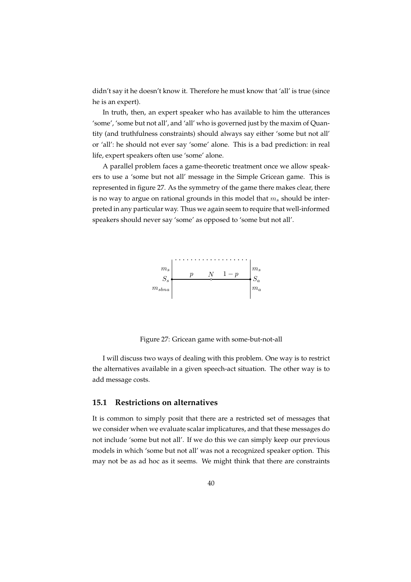didn't say it he doesn't know it. Therefore he must know that 'all' is true (since he is an expert).

In truth, then, an expert speaker who has available to him the utterances 'some', 'some but not all', and 'all' who is governed just by the maxim of Quantity (and truthfulness constraints) should always say either 'some but not all' or 'all': he should not ever say 'some' alone. This is a bad prediction: in real life, expert speakers often use 'some' alone.

A parallel problem faces a game-theoretic treatment once we allow speakers to use a 'some but not all' message in the Simple Gricean game. This is represented in figure 27. As the symmetry of the game there makes clear, there is no way to argue on rational grounds in this model that  $m_s$  should be interpreted in any particular way. Thus we again seem to require that well-informed speakers should never say 'some' as opposed to 'some but not all'.



Figure 27: Gricean game with some-but-not-all

I will discuss two ways of dealing with this problem. One way is to restrict the alternatives available in a given speech-act situation. The other way is to add message costs.

## **15.1 Restrictions on alternatives**

It is common to simply posit that there are a restricted set of messages that we consider when we evaluate scalar implicatures, and that these messages do not include 'some but not all'. If we do this we can simply keep our previous models in which 'some but not all' was not a recognized speaker option. This may not be as ad hoc as it seems. We might think that there are constraints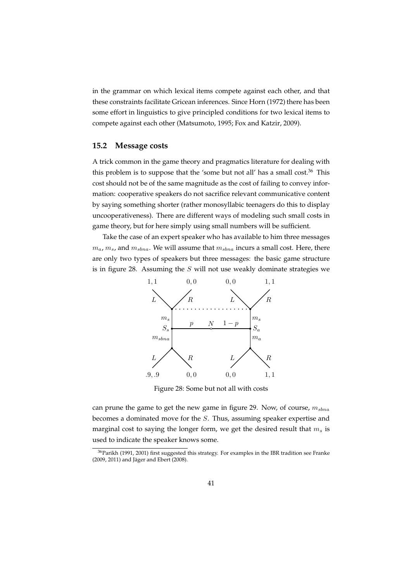in the grammar on which lexical items compete against each other, and that these constraints facilitate Gricean inferences. Since Horn (1972) there has been some effort in linguistics to give principled conditions for two lexical items to compete against each other (Matsumoto, 1995; Fox and Katzir, 2009).

#### **15.2 Message costs**

A trick common in the game theory and pragmatics literature for dealing with this problem is to suppose that the 'some but not all' has a small cost. $36$  This cost should not be of the same magnitude as the cost of failing to convey information: cooperative speakers do not sacrifice relevant communicative content by saying something shorter (rather monosyllabic teenagers do this to display uncooperativeness). There are different ways of modeling such small costs in game theory, but for here simply using small numbers will be sufficient.

Take the case of an expert speaker who has available to him three messages  $m_a$ ,  $m_s$ , and  $m_{sba}$ . We will assume that  $m_{sba}$  incurs a small cost. Here, there are only two types of speakers but three messages: the basic game structure is in figure 28. Assuming the S will not use weakly dominate strategies we



Figure 28: Some but not all with costs

can prune the game to get the new game in figure 29. Now, of course,  $m_{shna}$ becomes a dominated move for the S. Thus, assuming speaker expertise and marginal cost to saying the longer form, we get the desired result that  $m_s$  is used to indicate the speaker knows some.

<sup>36</sup>Parikh (1991, 2001) first suggested this strategy. For examples in the IBR tradition see Franke  $(2009, 2011)$  and Jäger and Ebert  $(2008)$ .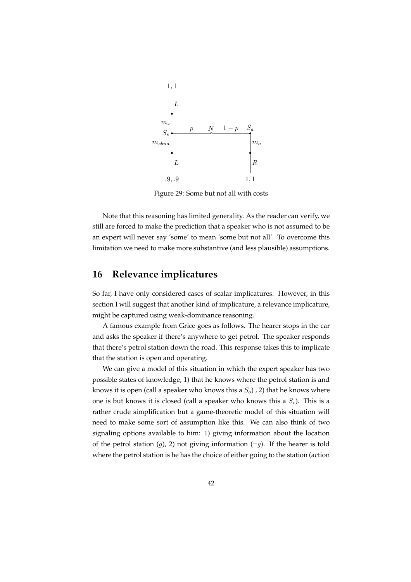

Figure 29: Some but not all with costs

Note that this reasoning has limited generality. As the reader can verify, we still are forced to make the prediction that a speaker who is not assumed to be an expert will never say 'some' to mean 'some but not all'. To overcome this limitation we need to make more substantive (and less plausible) assumptions.

## **16 Relevance implicatures**

So far, I have only considered cases of scalar implicatures. However, in this section I will suggest that another kind of implicature, a relevance implicature, might be captured using weak-dominance reasoning.

A famous example from Grice goes as follows. The hearer stops in the car and asks the speaker if there's anywhere to get petrol. The speaker responds that there's petrol station down the road. This response takes this to implicate that the station is open and operating.

We can give a model of this situation in which the expert speaker has two possible states of knowledge, 1) that he knows where the petrol station is and knows it is open (call a speaker who knows this a  $S<sub>o</sub>$ ), 2) that he knows where one is but knows it is closed (call a speaker who knows this a  $S_c$ ). This is a rather crude simplification but a game-theoretic model of this situation will need to make some sort of assumption like this. We can also think of two signaling options available to him: 1) giving information about the location of the petrol station (g), 2) not giving information ( $\neg g$ ). If the hearer is told where the petrol station is he has the choice of either going to the station (action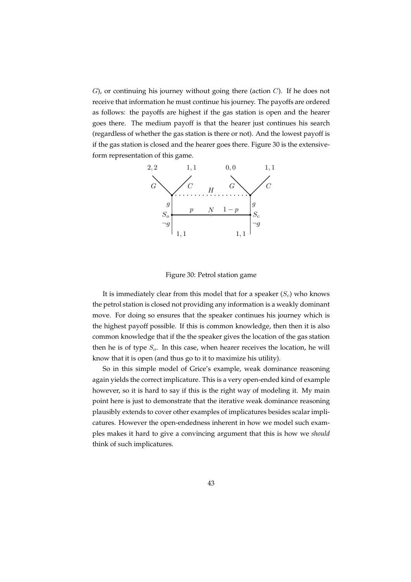$G$ ), or continuing his journey without going there (action  $C$ ). If he does not receive that information he must continue his journey. The payoffs are ordered as follows: the payoffs are highest if the gas station is open and the hearer goes there. The medium payoff is that the hearer just continues his search (regardless of whether the gas station is there or not). And the lowest payoff is if the gas station is closed and the hearer goes there. Figure 30 is the extensiveform representation of this game.



#### Figure 30: Petrol station game

It is immediately clear from this model that for a speaker  $(S_c)$  who knows the petrol station is closed not providing any information is a weakly dominant move. For doing so ensures that the speaker continues his journey which is the highest payoff possible. If this is common knowledge, then then it is also common knowledge that if the the speaker gives the location of the gas station then he is of type  $S<sub>o</sub>$ . In this case, when hearer receives the location, he will know that it is open (and thus go to it to maximize his utility).

So in this simple model of Grice's example, weak dominance reasoning again yields the correct implicature. This is a very open-ended kind of example however, so it is hard to say if this is the right way of modeling it. My main point here is just to demonstrate that the iterative weak dominance reasoning plausibly extends to cover other examples of implicatures besides scalar implicatures. However the open-endedness inherent in how we model such examples makes it hard to give a convincing argument that this is how we *should* think of such implicatures.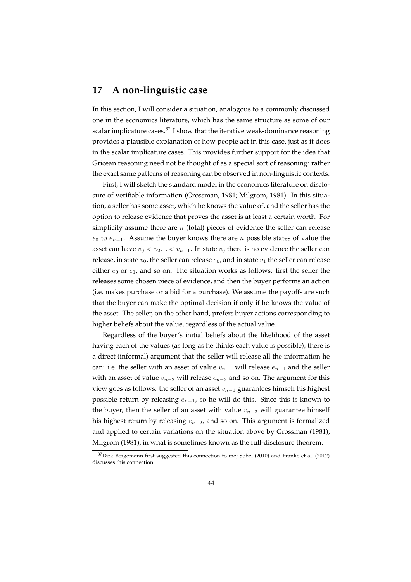## **17 A non-linguistic case**

In this section, I will consider a situation, analogous to a commonly discussed one in the economics literature, which has the same structure as some of our scalar implicature cases.<sup>37</sup> I show that the iterative weak-dominance reasoning provides a plausible explanation of how people act in this case, just as it does in the scalar implicature cases. This provides further support for the idea that Gricean reasoning need not be thought of as a special sort of reasoning: rather the exact same patterns of reasoning can be observed in non-linguistic contexts.

First, I will sketch the standard model in the economics literature on disclosure of verifiable information (Grossman, 1981; Milgrom, 1981). In this situation, a seller has some asset, which he knows the value of, and the seller has the option to release evidence that proves the asset is at least a certain worth. For simplicity assume there are  $n$  (total) pieces of evidence the seller can release  $e_0$  to  $e_{n-1}$ . Assume the buyer knows there are *n* possible states of value the asset can have  $v_0 < v_2... < v_{n-1}$ . In state  $v_0$  there is no evidence the seller can release, in state  $v_0$ , the seller can release  $e_0$ , and in state  $v_1$  the seller can release either  $e_0$  or  $e_1$ , and so on. The situation works as follows: first the seller the releases some chosen piece of evidence, and then the buyer performs an action (i.e. makes purchase or a bid for a purchase). We assume the payoffs are such that the buyer can make the optimal decision if only if he knows the value of the asset. The seller, on the other hand, prefers buyer actions corresponding to higher beliefs about the value, regardless of the actual value.

Regardless of the buyer's initial beliefs about the likelihood of the asset having each of the values (as long as he thinks each value is possible), there is a direct (informal) argument that the seller will release all the information he can: i.e. the seller with an asset of value  $v_{n-1}$  will release  $e_{n-1}$  and the seller with an asset of value  $v_{n-2}$  will release  $e_{n-2}$  and so on. The argument for this view goes as follows: the seller of an asset  $v_{n-1}$  guarantees himself his highest possible return by releasing  $e_{n-1}$ , so he will do this. Since this is known to the buyer, then the seller of an asset with value  $v_{n-2}$  will guarantee himself his highest return by releasing  $e_{n-2}$ , and so on. This argument is formalized and applied to certain variations on the situation above by Grossman (1981); Milgrom (1981), in what is sometimes known as the full-disclosure theorem.

 $37$ Dirk Bergemann first suggested this connection to me; Sobel (2010) and Franke et al. (2012) discusses this connection.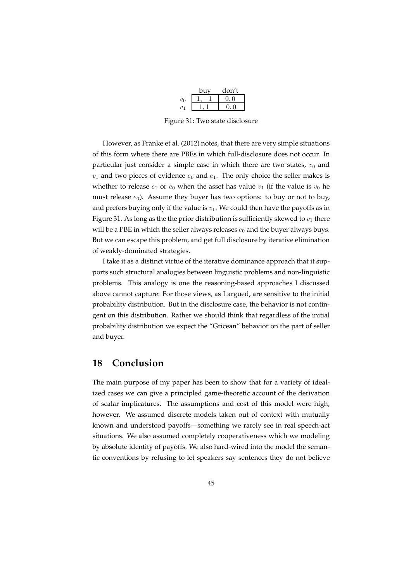|                    | buy | don't |
|--------------------|-----|-------|
| $v_{0}$            |     |       |
| $\scriptstyle v_1$ |     |       |

Figure 31: Two state disclosure

However, as Franke et al. (2012) notes, that there are very simple situations of this form where there are PBEs in which full-disclosure does not occur. In particular just consider a simple case in which there are two states,  $v_0$  and  $v_1$  and two pieces of evidence  $e_0$  and  $e_1$ . The only choice the seller makes is whether to release  $e_1$  or  $e_0$  when the asset has value  $v_1$  (if the value is  $v_0$  he must release  $e_0$ ). Assume they buyer has two options: to buy or not to buy, and prefers buying only if the value is  $v_1$ . We could then have the payoffs as in Figure 31. As long as the the prior distribution is sufficiently skewed to  $v_1$  there will be a PBE in which the seller always releases  $e_0$  and the buyer always buys. But we can escape this problem, and get full disclosure by iterative elimination of weakly-dominated strategies.

I take it as a distinct virtue of the iterative dominance approach that it supports such structural analogies between linguistic problems and non-linguistic problems. This analogy is one the reasoning-based approaches I discussed above cannot capture: For those views, as I argued, are sensitive to the initial probability distribution. But in the disclosure case, the behavior is not contingent on this distribution. Rather we should think that regardless of the initial probability distribution we expect the "Gricean" behavior on the part of seller and buyer.

# **18 Conclusion**

The main purpose of my paper has been to show that for a variety of idealized cases we can give a principled game-theoretic account of the derivation of scalar implicatures. The assumptions and cost of this model were high, however. We assumed discrete models taken out of context with mutually known and understood payoffs—something we rarely see in real speech-act situations. We also assumed completely cooperativeness which we modeling by absolute identity of payoffs. We also hard-wired into the model the semantic conventions by refusing to let speakers say sentences they do not believe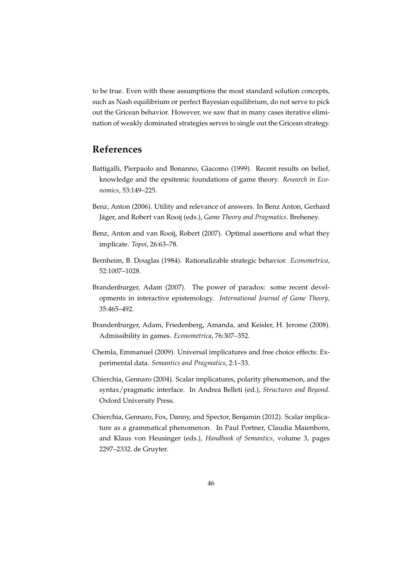to be true. Even with these assumptions the most standard solution concepts, such as Nash equilibrium or perfect Bayesian equilibrium, do not serve to pick out the Gricean behavior. However, we saw that in many cases iterative elimination of weakly dominated strategies serves to single out the Gricean strategy.

# **References**

- Battigalli, Pierpaolo and Bonanno, Giacomo (1999). Recent results on belief, knowledge and the epsitemic foundations of game theory. *Research in Economics*, 53:149–225.
- Benz, Anton (2006). Utility and relevance of answers. In Benz Anton, Gerhard Jäger, and Robert van Rooij (eds.), *Game Theory and Pragmatics*. Breheney.
- Benz, Anton and van Rooij, Robert (2007). Optimal assertions and what they implicate. *Topoi*, 26:63–78.
- Bernheim, B. Douglas (1984). Rationalizable strategic behavior. *Econometrica*, 52:1007–1028.
- Brandenburger, Adam (2007). The power of paradox: some recent developments in interactive epistemology. *International Journal of Game Theory*, 35:465–492.
- Brandenburger, Adam, Friedenberg, Amanda, and Keisler, H. Jerome (2008). Admissibility in games. *Econometrica*, 76:307–352.
- Chemla, Emmanuel (2009). Universal implicatures and free choice effects: Experimental data. *Semantics and Pragmatics*, 2:1–33.
- Chierchia, Gennaro (2004). Scalar implicatures, polarity phenomenon, and the syntax/pragmatic interface. In Andrea Belleti (ed.), *Structures and Beyond*. Oxford University Press.
- Chierchia, Gennaro, Fox, Danny, and Spector, Benjamin (2012). Scalar implicature as a grammatical phenomenon. In Paul Portner, Claudia Maienborn, and Klaus von Heusinger (eds.), *Handbook of Semantics*, volume 3, pages 2297–2332. de Gruyter.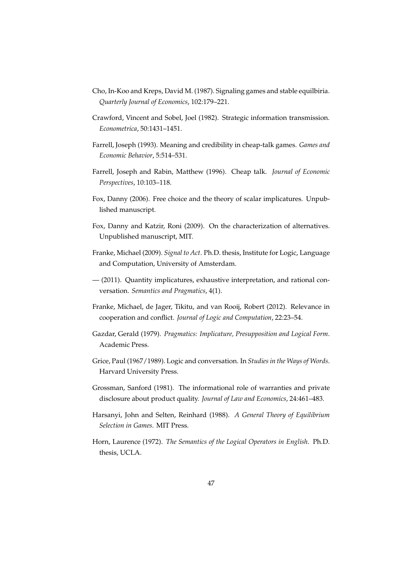- Cho, In-Koo and Kreps, David M. (1987). Signaling games and stable equilbiria. *Quarterly Journal of Economics*, 102:179–221.
- Crawford, Vincent and Sobel, Joel (1982). Strategic information transmission. *Econometrica*, 50:1431–1451.
- Farrell, Joseph (1993). Meaning and credibility in cheap-talk games. *Games and Economic Behavior*, 5:514–531.
- Farrell, Joseph and Rabin, Matthew (1996). Cheap talk. *Journal of Economic Perspectives*, 10:103–118.
- Fox, Danny (2006). Free choice and the theory of scalar implicatures. Unpublished manuscript.
- Fox, Danny and Katzir, Roni (2009). On the characterization of alternatives. Unpublished manuscript, MIT.
- Franke, Michael (2009). *Signal to Act*. Ph.D. thesis, Institute for Logic, Language and Computation, University of Amsterdam.
- (2011). Quantity implicatures, exhaustive interpretation, and rational conversation. *Semantics and Pragmatics*, 4(1).
- Franke, Michael, de Jager, Tikitu, and van Rooij, Robert (2012). Relevance in cooperation and conflict. *Journal of Logic and Computation*, 22:23–54.
- Gazdar, Gerald (1979). *Pragmatics: Implicature, Presupposition and Logical Form*. Academic Press.
- Grice, Paul (1967/1989). Logic and conversation. In *Studies in the Ways of Words*. Harvard University Press.
- Grossman, Sanford (1981). The informational role of warranties and private disclosure about product quality. *Journal of Law and Economics*, 24:461–483.
- Harsanyi, John and Selten, Reinhard (1988). *A General Theory of Equilibrium Selection in Games*. MIT Press.
- Horn, Laurence (1972). *The Semantics of the Logical Operators in English*. Ph.D. thesis, UCLA.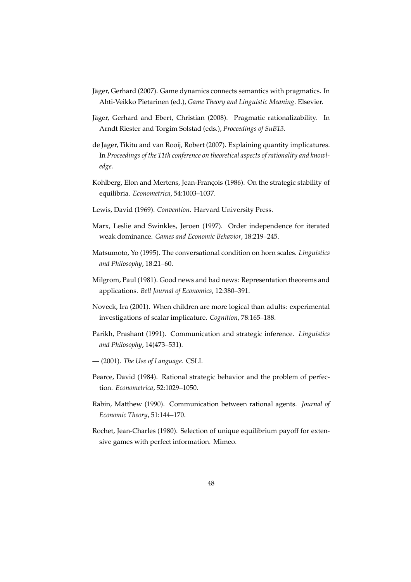- Jäger, Gerhard (2007). Game dynamics connects semantics with pragmatics. In Ahti-Veikko Pietarinen (ed.), *Game Theory and Linguistic Meaning*. Elsevier.
- Jäger, Gerhard and Ebert, Christian (2008). Pragmatic rationalizability. In Arndt Riester and Torgim Solstad (eds.), *Proceedings of SuB13*.
- de Jager, Tikitu and van Rooij, Robert (2007). Explaining quantity implicatures. In *Proceedings of the 11th conference on theoretical aspects of rationality and knowledge*.
- Kohlberg, Elon and Mertens, Jean-François (1986). On the strategic stability of equilibria. *Econometrica*, 54:1003–1037.
- Lewis, David (1969). *Convention*. Harvard University Press.
- Marx, Leslie and Swinkles, Jeroen (1997). Order independence for iterated weak dominance. *Games and Economic Behavior*, 18:219–245.
- Matsumoto, Yo (1995). The conversational condition on horn scales. *Linguistics and Philosophy*, 18:21–60.
- Milgrom, Paul (1981). Good news and bad news: Representation theorems and applications. *Bell Journal of Economics*, 12:380–391.
- Noveck, Ira (2001). When children are more logical than adults: experimental investigations of scalar implicature. *Cognition*, 78:165–188.
- Parikh, Prashant (1991). Communication and strategic inference. *Linguistics and Philosophy*, 14(473–531).
- (2001). *The Use of Language*. CSLI.
- Pearce, David (1984). Rational strategic behavior and the problem of perfection. *Econometrica*, 52:1029–1050.
- Rabin, Matthew (1990). Communication between rational agents. *Journal of Economic Theory*, 51:144–170.
- Rochet, Jean-Charles (1980). Selection of unique equilibrium payoff for extensive games with perfect information. Mimeo.